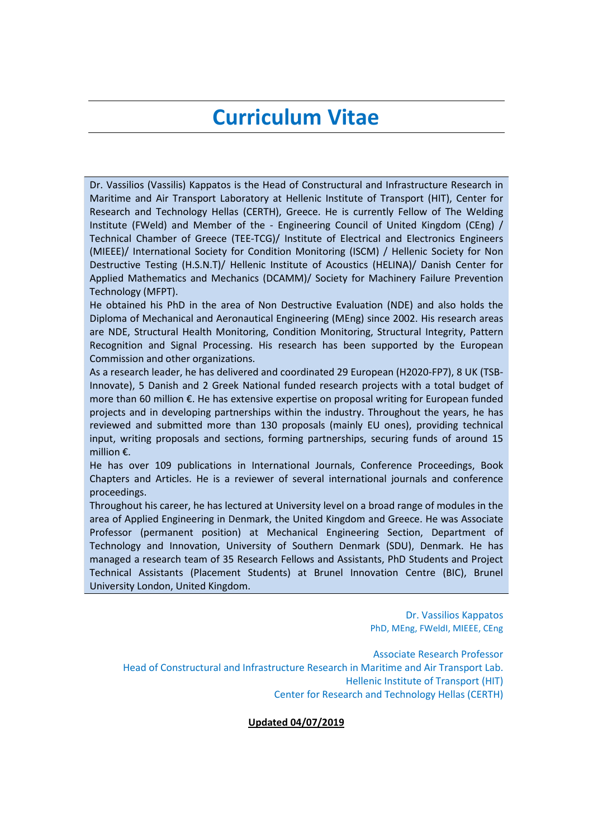# **Curriculum Vitae**

Dr. Vassilios (Vassilis) Kappatos is the Head of Constructural and Infrastructure Research in Maritime and Air Transport Laboratory at Hellenic Institute of Transport (HIT), Center for Research and Technology Hellas (CERTH), Greece. He is currently Fellow of The Welding Institute (FWeld) and Member of the - Engineering Council of United Kingdom (CEng) / Technical Chamber of Greece (TEE-TCG)/ Institute of Electrical and Electronics Engineers (MIEEE)/ International Society for Condition Monitoring (ISCM) / Hellenic Society for Non Destructive Testing (H.S.N.T)/ Hellenic Institute of Acoustics (HELINA)/ Danish Center for Applied Mathematics and Mechanics (DCAMM)/ Society for Machinery Failure Prevention Technology (MFPT).

He obtained his PhD in the area of Non Destructive Evaluation (NDE) and also holds the Diploma of Mechanical and Aeronautical Engineering (MEng) since 2002. His research areas are NDE, Structural Health Monitoring, Condition Monitoring, Structural Integrity, Pattern Recognition and Signal Processing. His research has been supported by the European Commission and other organizations.

As a research leader, he has delivered and coordinated 29 European (H2020-FP7), 8 UK (TSB-Innovate), 5 Danish and 2 Greek National funded research projects with a total budget of more than 60 million €. He has extensive expertise on proposal writing for European funded projects and in developing partnerships within the industry. Throughout the years, he has reviewed and submitted more than 130 proposals (mainly EU ones), providing technical input, writing proposals and sections, forming partnerships, securing funds of around 15 million €.

He has over 109 publications in International Journals, Conference Proceedings, Book Chapters and Articles. He is a reviewer of several international journals and conference proceedings.

Throughout his career, he has lectured at University level on a broad range of modules in the area of Applied Engineering in Denmark, the United Kingdom and Greece. He was Associate Professor (permanent position) at Mechanical Engineering Section, Department of Technology and Innovation, University of Southern Denmark (SDU), Denmark. He has managed a research team of 35 Research Fellows and Assistants, PhD Students and Project Technical Assistants (Placement Students) at Brunel Innovation Centre (BIC), Brunel University London, United Kingdom.

> Dr. Vassilios Kappatos PhD, MEng, FWeldI, MIEEE, CEng

Associate Research Professor Head of Constructural and Infrastructure Research in Maritime and Air Transport Lab. Hellenic Institute of Transport (HIT) Center for Research and Technology Hellas (CERTH)

**Updated 04/07/2019**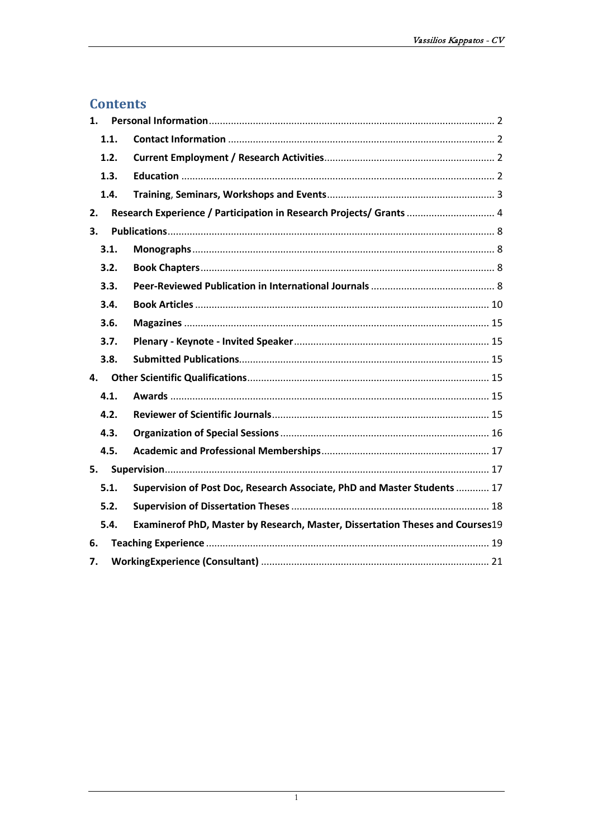# **Contents**

| 1.   |                                                                               |
|------|-------------------------------------------------------------------------------|
| 1.1. |                                                                               |
| 1.2. |                                                                               |
| 1.3. |                                                                               |
| 1.4. |                                                                               |
| 2.   | Research Experience / Participation in Research Projects/ Grants  4           |
| 3.   |                                                                               |
| 3.1. |                                                                               |
| 3.2. |                                                                               |
| 3.3. |                                                                               |
| 3.4. |                                                                               |
| 3.6. |                                                                               |
| 3.7. |                                                                               |
| 3.8. |                                                                               |
| 4.   |                                                                               |
| 4.1. |                                                                               |
| 4.2. |                                                                               |
| 4.3. |                                                                               |
| 4.5. |                                                                               |
| 5.   |                                                                               |
| 5.1. | Supervision of Post Doc, Research Associate, PhD and Master Students  17      |
| 5.2. |                                                                               |
| 5.4. | Examinerof PhD, Master by Research, Master, Dissertation Theses and Courses19 |
| 6.   |                                                                               |
| 7.   |                                                                               |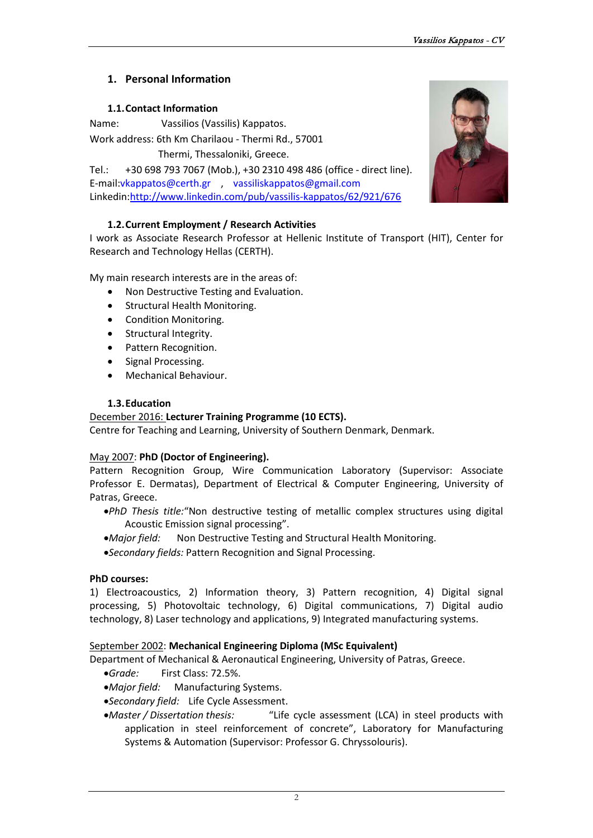# <span id="page-2-0"></span>**1. Personal Information**

# **1.1.Contact Information**

<span id="page-2-1"></span>Name: Vassilios (Vassilis) Kappatos.

Work address: 6th Km Charilaou - Thermi Rd., 57001

Thermi, Thessaloniki, Greece.

Tel.: +30 698 793 7067 (Mob.), [+30 2310 498](tel:+4565508358) 486 (office - direct line). E-mail:vkappatos@certh.gr , vassiliskappatos@gmail.com Linkedin[:http://www.linkedin.com/pub/vassilis-kappatos/62/921/676](http://www.linkedin.com/pub/vassilis-kappatos/62/921/676)

# **1.2.Current Employment / Research Activities**

<span id="page-2-2"></span>I work as Associate Research Professor at Hellenic Institute of Transport (HIT), Center for Research and Technology Hellas (CERTH).

My main research interests are in the areas of:

- Non Destructive Testing and Evaluation.
- Structural Health Monitoring.
- Condition Monitoring.
- Structural Integrity.
- Pattern Recognition.
- Signal Processing.
- Mechanical Behaviour.

# **1.3.Education**

# <span id="page-2-3"></span>December 2016: **Lecturer Training Programme (10 ECTS).**

Centre for Teaching and Learning, University of Southern Denmark, Denmark.

# May 2007: **PhD (Doctor of Engineering).**

Pattern Recognition Group, Wire Communication Laboratory (Supervisor: Associate Professor E. Dermatas), Department of Electrical & Computer Engineering, University of Patras, Greece.

- •*PhD Thesis title:*"Non destructive testing of metallic complex structures using digital Acoustic Emission signal processing".
- •*Major field:* Non Destructive Testing and Structural Health Monitoring.
- •*Secondary fields:* Pattern Recognition and Signal Processing.

# **PhD courses:**

1) Electroacoustics, 2) Information theory, 3) Pattern recognition, 4) Digital signal processing, 5) Photovoltaic technology, 6) Digital communications, 7) Digital audio technology, 8) Laser technology and applications, 9) Integrated manufacturing systems.

# September 2002: **Mechanical Engineering Diploma (MSc Equivalent)**

Department of Mechanical & Aeronautical Engineering, University of Patras, Greece.

- •*Grade:* First Class: 72.5%.
- •*Major field:* Manufacturing Systems.
- •*Secondary field:* Life Cycle Assessment.
- •*Master / Dissertation thesis:* "Life cycle assessment (LCA) in steel products with application in steel reinforcement of concrete", Laboratory for Manufacturing Systems & Automation (Supervisor: Professor G. Chryssolouris).

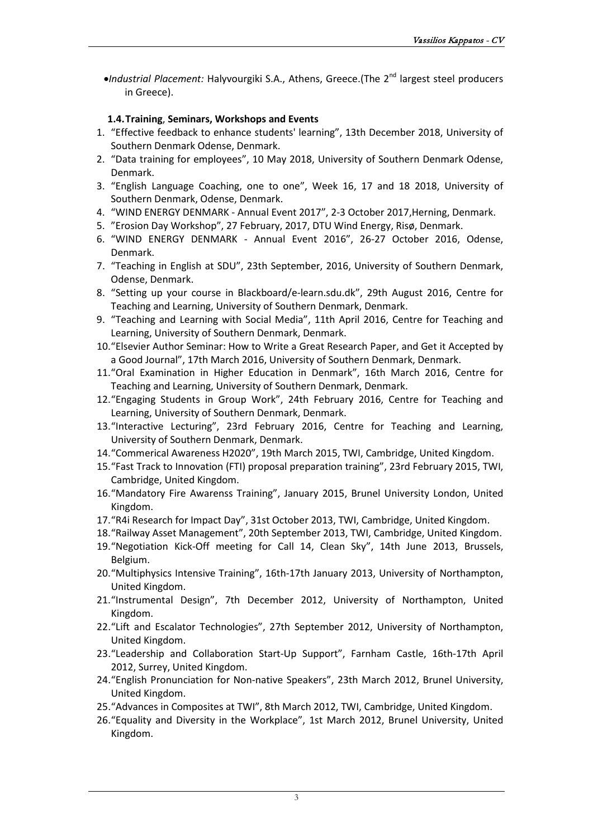•*Industrial Placement:* Halyvourgiki S.A., Athens, Greece.(The 2<sup>nd</sup> largest steel producers in [Greece\)](http://en.wikipedia.org/wiki/Greece).

# **1.4.Training**, **Seminars, Workshops and Events**

- <span id="page-3-0"></span>1. "Effective feedback to enhance students' learning", 13th December 2018, University of Southern Denmark Odense, Denmark.
- 2. "Data training for employees", 10 May 2018, University of Southern Denmark Odense, Denmark.
- 3. "English Language Coaching, one to one", Week 16, 17 and 18 2018, University of Southern Denmark, Odense, Denmark.
- 4. "WIND ENERGY DENMARK Annual Event 2017", 2-3 October 2017,Herning, Denmark.
- 5. "Erosion Day Workshop", 27 February, 2017, DTU Wind Energy, Risø, Denmark.
- 6. "WIND ENERGY DENMARK Annual Event 2016", 26-27 October 2016, Odense, Denmark.
- 7. "Teaching in English at SDU", 23th September, 2016, University of Southern Denmark, Odense, Denmark.
- 8. "Setting up your course in Blackboard/e-learn.sdu.dk", 29th August 2016, Centre for Teaching and Learning, University of Southern Denmark, Denmark.
- 9. "Teaching and Learning with Social Media", 11th April 2016, Centre for Teaching and Learning, University of Southern Denmark, Denmark.
- 10."Elsevier Author Seminar: How to Write a Great Research Paper, and Get it Accepted by a Good Journal", 17th March 2016, University of Southern Denmark, Denmark.
- 11."Oral Examination in Higher Education in Denmark", 16th March 2016, Centre for Teaching and Learning, University of Southern Denmark, Denmark.
- 12."Engaging Students in Group Work", 24th February 2016, Centre for Teaching and Learning, University of Southern Denmark, Denmark.
- 13."Interactive Lecturing", 23rd February 2016, Centre for Teaching and Learning, University of Southern Denmark, Denmark.
- 14."Commerical Awareness H2020", 19th March 2015, TWI, Cambridge, United Kingdom.
- 15."Fast Track to Innovation (FTI) proposal preparation training", 23rd February 2015, TWI, Cambridge, United Kingdom.
- 16."Mandatory Fire Awarenss Training", January 2015, Brunel University London, United Kingdom.
- 17."R4i Research for Impact Day", 31st October 2013, TWI, Cambridge, United Kingdom.
- 18."Railway Asset Management", 20th September 2013, TWI, Cambridge, United Kingdom.
- 19."Negotiation Kick-Off meeting for Call 14, Clean Sky", 14th June 2013, Brussels, Belgium.
- 20."Multiphysics Intensive Training", 16th-17th January 2013, University of Northampton, United Kingdom.
- 21."Instrumental Design", 7th December 2012, University of Northampton, United Kingdom.
- 22."Lift and Escalator Technologies", 27th September 2012, University of Northampton, United Kingdom.
- 23."Leadership and Collaboration Start-Up Support", Farnham Castle, 16th-17th April 2012, Surrey, United Kingdom.
- 24."English Pronunciation for Non-native Speakers", 23th March 2012, Brunel University, United Kingdom.
- 25."Advances in Composites at TWI", 8th March 2012, TWI, Cambridge, United Kingdom.
- 26.["Equality and Diversity in the Workplace"](https://marshallacmtraining.co.uk/course/6e8c2664-5db8-42b8-8693-70dce5512e5a), 1st March 2012, Brunel University, United Kingdom.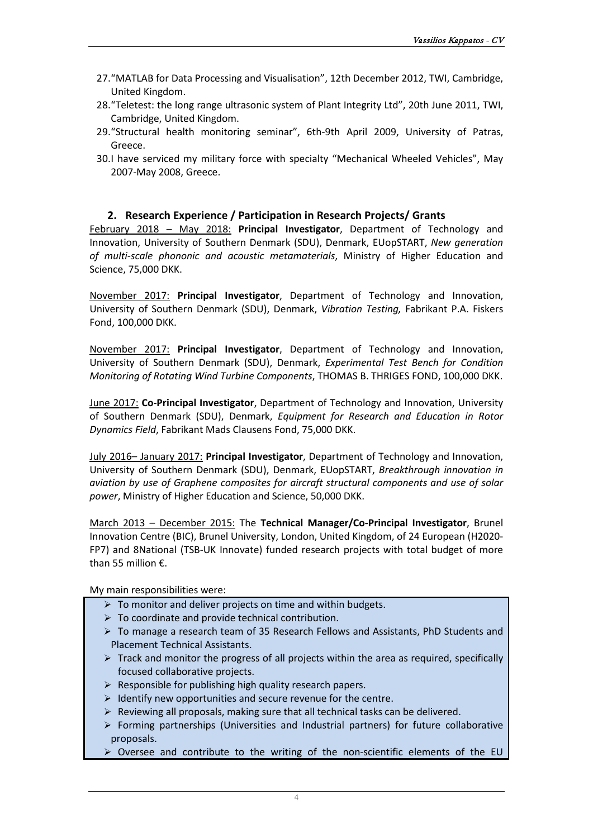- 27."MATLAB for Data Processing and Visualisation", 12th December 2012, TWI, Cambridge, United Kingdom.
- 28."Teletest: the long range ultrasonic system of Plant Integrity Ltd", 20th June 2011, TWI, Cambridge, United Kingdom.
- 29."Structural health monitoring seminar", 6th-9th April 2009, University of Patras, Greece.
- 30.I have serviced my military force with specialty "Mechanical Wheeled Vehicles", Μay 2007-Μay 2008, Greece.

# **2. Research Experience / Participation in Research Projects/ Grants**

<span id="page-4-0"></span>February 2018 – May 2018: **Principal Investigator**, Department of Technology and Innovation, University of Southern Denmark (SDU), Denmark, EUopSTART, *New generation of multi-scale phononic and acoustic metamaterials*, Ministry of Higher Education and Science, 75,000 DKK.

November 2017: **Principal Investigator**, Department of Technology and Innovation, University of Southern Denmark (SDU), Denmark, *Vibration Testing,* Fabrikant P.A. Fiskers Fond, 100,000 DKK.

November 2017: **Principal Investigator**, Department of Technology and Innovation, University of Southern Denmark (SDU), Denmark, *Experimental Test Bench for Condition Monitoring of Rotating Wind Turbine Components*, THOMAS B. THRIGES FOND, 100,000 DKK.

June 2017: **Co-Principal Investigator**, Department of Technology and Innovation, University of Southern Denmark (SDU), Denmark, *Equipment for Research and Education in Rotor Dynamics Field*, Fabrikant Mads Clausens Fond, 75,000 DKK.

July 2016– January 2017: **Principal Investigator**, Department of Technology and Innovation, University of Southern Denmark (SDU), Denmark, EUopSTART, *Breakthrough innovation in aviation by use of Graphene composites for aircraft structural components and use of solar power*, Ministry of Higher Education and Science, 50,000 DKK.

March 2013 – December 2015: The **Technical Manager/Co-Principal Investigator**, Brunel Innovation Centre (BIC), Brunel University, London, United Kingdom, of 24 European (H2020- FP7) and 8National (TSB-UK Innovate) funded research projects with total budget of more than 55 million €.

#### My main responsibilities were:

- $\triangleright$  To monitor and deliver projects on time and within budgets.
- $\triangleright$  To coordinate and provide technical contribution.
- To manage a research team of 35 Research Fellows and Assistants, PhD Students and Placement Technical Assistants.
- $\triangleright$  Track and monitor the progress of all projects within the area as required, specifically focused collaborative projects.
- $\triangleright$  Responsible for publishing high quality research papers.
- $\triangleright$  Identify new opportunities and secure revenue for the centre.
- $\triangleright$  Reviewing all proposals, making sure that all technical tasks can be delivered.
- $\triangleright$  Forming partnerships (Universities and Industrial partners) for future collaborative proposals.
- $\triangleright$  Oversee and contribute to the writing of the non-scientific elements of the EU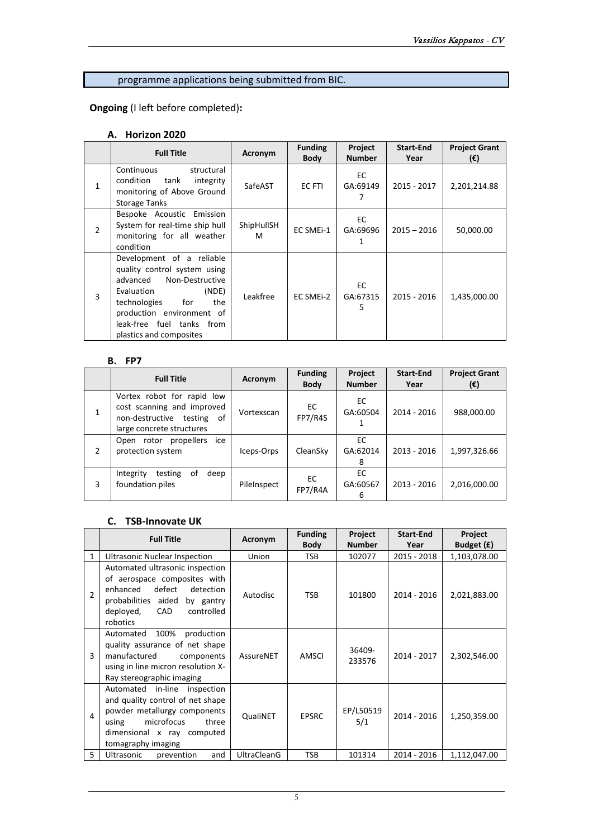# programme applications being submitted from BIC.

**Ongoing** (I left before completed)**:**

## **A. Horizon 2020**

|               | <b>Full Title</b>                                                                                                                                                                                                                  | Acronym         | <b>Funding</b><br><b>Body</b> | Project<br><b>Number</b> | <b>Start-End</b><br>Year | <b>Project Grant</b><br>$(\epsilon)$ |
|---------------|------------------------------------------------------------------------------------------------------------------------------------------------------------------------------------------------------------------------------------|-----------------|-------------------------------|--------------------------|--------------------------|--------------------------------------|
| $\mathbf{1}$  | Continuous<br>structural<br>condition<br>tank<br>integrity<br>monitoring of Above Ground<br><b>Storage Tanks</b>                                                                                                                   | SafeAST         | EC FTI                        | EC<br>GA:69149           | 2015 - 2017              | 2,201,214.88                         |
| $\mathcal{P}$ | Bespoke Acoustic Emission<br>System for real-time ship hull<br>monitoring for all weather<br>condition                                                                                                                             | ShipHullSH<br>М | EC SMEI-1                     | EC<br>GA:69696           | $2015 - 2016$            | 50,000.00                            |
| 3             | Development of a reliable<br>quality control system using<br>Non-Destructive<br>advanced<br>(NDE)<br>Evaluation<br>technologies<br>for<br>the<br>production environment of<br>leak-free fuel tanks from<br>plastics and composites | Leakfree        | EC SMEI-2                     | EC<br>GA:67315<br>5.     | 2015 - 2016              | 1,435,000.00                         |

#### **B. FP7**

|   | <b>Full Title</b>                                                                                                         | Acronym     | <b>Funding</b><br><b>Body</b> | Project<br><b>Number</b> | <b>Start-End</b><br>Year | <b>Project Grant</b><br>$(\epsilon)$ |
|---|---------------------------------------------------------------------------------------------------------------------------|-------------|-------------------------------|--------------------------|--------------------------|--------------------------------------|
| 1 | Vortex robot for rapid low<br>cost scanning and improved<br>non-destructive<br>testing<br>of<br>large concrete structures | Vortexscan  | EC.<br>FP7/R4S                | EC<br>GA:60504           | 2014 - 2016              | 988,000.00                           |
| 2 | ice<br>propellers<br>Open rotor<br>protection system                                                                      | Iceps-Orps  | CleanSky                      | EC<br>GA:62014<br>8      | 2013 - 2016              | 1,997,326.66                         |
| 3 | testing<br>0f<br>Integrity<br>deep<br>foundation piles                                                                    | PileInspect | EC<br>FP7/R4A                 | EC<br>GA:60567<br>6      | $2013 - 2016$            | 2,016,000.00                         |

## **C. TSB-Innovate UK**

|               | <b>Full Title</b>                                                                                                                                                                           | Acronym            | <b>Funding</b><br><b>Body</b> | Project<br><b>Number</b> | <b>Start-End</b><br>Year | <b>Project</b><br>Budget (£) |
|---------------|---------------------------------------------------------------------------------------------------------------------------------------------------------------------------------------------|--------------------|-------------------------------|--------------------------|--------------------------|------------------------------|
| $\mathbf{1}$  | <b>Ultrasonic Nuclear Inspection</b>                                                                                                                                                        | Union              | <b>TSB</b>                    | 102077                   | 2015 - 2018              | 1,103,078.00                 |
| $\mathcal{P}$ | Automated ultrasonic inspection<br>of aerospace composites with<br>defect<br>enhanced<br>detection<br>probabilities aided<br>by gantry<br><b>CAD</b><br>controlled<br>deployed,<br>robotics | Autodisc           | <b>TSB</b>                    | 101800                   | 2014 - 2016              | 2,021,883.00                 |
| 3             | 100%<br>Automated<br>production<br>quality assurance of net shape<br>manufactured<br>components<br>using in line micron resolution X-<br>Ray stereographic imaging                          | AssureNET          | AMSCI                         | 36409-<br>233576         | 2014 - 2017              | 2,302,546.00                 |
| 4             | Automated in-line<br>inspection<br>and quality control of net shape<br>powder metallurgy components<br>microfocus<br>three<br>using<br>dimensional x ray computed<br>tomagraphy imaging     | <b>QualiNET</b>    | <b>EPSRC</b>                  | EP/L50519<br>5/1         | 2014 - 2016              | 1,250,359.00                 |
| 5             | Ultrasonic<br>and<br>prevention                                                                                                                                                             | <b>UltraCleanG</b> | <b>TSB</b>                    | 101314                   | 2014 - 2016              | 1,112,047.00                 |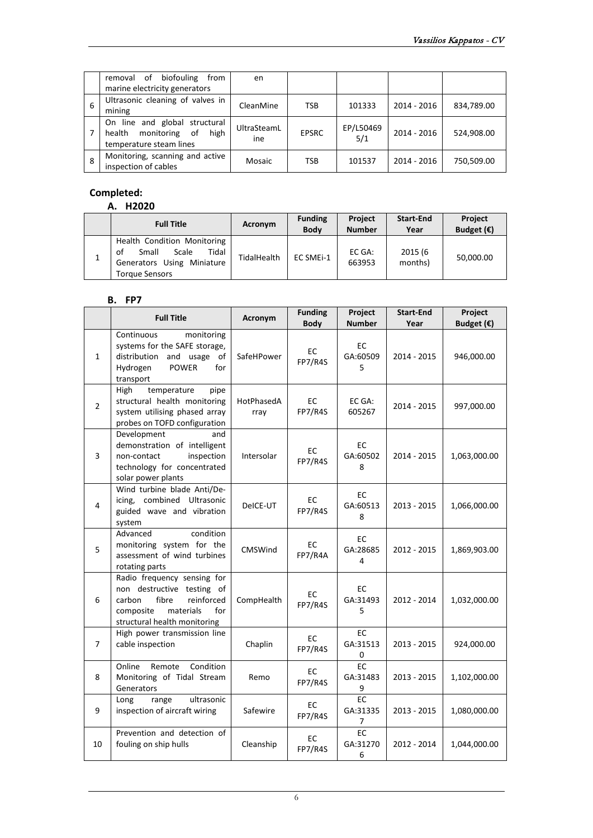|    | removal of<br>biofouling<br>from                                                            | en                 |              |                  |             |            |
|----|---------------------------------------------------------------------------------------------|--------------------|--------------|------------------|-------------|------------|
|    | marine electricity generators                                                               |                    |              |                  |             |            |
| -6 | Ultrasonic cleaning of valves in<br>mining                                                  | CleanMine          | <b>TSB</b>   | 101333           | 2014 - 2016 | 834,789.00 |
|    | On line and global structural<br>monitoring of<br>health<br>high<br>temperature steam lines | UltraSteamL<br>ine | <b>EPSRC</b> | EP/L50469<br>5/1 | 2014 - 2016 | 524,908.00 |
| 8  | Monitoring, scanning and active<br>inspection of cables                                     | Mosaic             | <b>TSB</b>   | 101537           | 2014 - 2016 | 750,509.00 |

# **Completed:**

## **A. H2020**

|   | <b>Full Title</b>                                                                                                   | Acronym     | <b>Funding</b><br><b>Body</b> | <b>Project</b><br><b>Number</b> | Start-End<br>Year  | <b>Project</b><br>Budget $(\epsilon)$ |
|---|---------------------------------------------------------------------------------------------------------------------|-------------|-------------------------------|---------------------------------|--------------------|---------------------------------------|
| 1 | Health Condition Monitoring<br>Scale<br>Tidal<br>Small<br>of<br>Generators Using Miniature<br><b>Torque Sensors</b> | TidalHealth | EC SMEi-1                     | EC GA:<br>663953                | 2015 (6<br>months) | 50,000.00                             |

#### **B. FP7**

|                | <b>Full Title</b>                                                                                                                                           | Acronym            | <b>Funding</b><br><b>Body</b> | Project<br><b>Number</b>   | <b>Start-End</b><br>Year | Project<br>Budget $(\epsilon)$ |
|----------------|-------------------------------------------------------------------------------------------------------------------------------------------------------------|--------------------|-------------------------------|----------------------------|--------------------------|--------------------------------|
| $\mathbf{1}$   | Continuous<br>monitoring<br>systems for the SAFE storage,<br>distribution and usage of<br>Hydrogen<br><b>POWER</b><br>for<br>transport                      | SafeHPower         | ЕC<br>FP7/R4S                 | EC<br>GA:60509<br>5        | 2014 - 2015              | 946,000.00                     |
| $\overline{2}$ | temperature<br>High<br>pipe<br>structural health monitoring<br>system utilising phased array<br>probes on TOFD configuration                                | HotPhasedA<br>rray | <b>EC</b><br>FP7/R4S          | EC GA:<br>605267           | 2014 - 2015              | 997,000.00                     |
| 3              | Development<br>and<br>demonstration of intelligent<br>inspection<br>non-contact<br>technology for concentrated<br>solar power plants                        | Intersolar         | EC<br>FP7/R4S                 | EC.<br>GA:60502<br>8       | 2014 - 2015              | 1,063,000.00                   |
| 4              | Wind turbine blade Anti/De-<br>icing, combined Ultrasonic<br>guided wave and vibration<br>system                                                            | DeICE-UT           | EC<br>FP7/R4S                 | EC<br>GA:60513<br>8        | 2013 - 2015              | 1,066,000.00                   |
| 5              | condition<br>Advanced<br>monitoring system for the<br>assessment of wind turbines<br>rotating parts                                                         | <b>CMSWind</b>     | EC<br>FP7/R4A                 | EC<br>GA:28685<br>4        | 2012 - 2015              | 1,869,903.00                   |
| 6              | Radio frequency sensing for<br>non destructive testing of<br>carbon<br>fibre<br>reinforced<br>composite<br>materials<br>for<br>structural health monitoring | CompHealth         | EC<br>FP7/R4S                 | EC<br>GA:31493<br>5        | 2012 - 2014              | 1,032,000.00                   |
| $\overline{7}$ | High power transmission line<br>cable inspection                                                                                                            | Chaplin            | <b>EC</b><br>FP7/R4S          | EC<br>GA:31513<br>0        | 2013 - 2015              | 924,000.00                     |
| 8              | Online<br>Condition<br>Remote<br>Monitoring of Tidal Stream<br>Generators                                                                                   | Remo               | EC<br>FP7/R4S                 | <b>EC</b><br>GA:31483<br>9 | 2013 - 2015              | 1,102,000.00                   |
| 9              | ultrasonic<br>Long<br>range<br>inspection of aircraft wiring                                                                                                | Safewire           | EC<br>FP7/R4S                 | <b>EC</b><br>GA:31335<br>7 | 2013 - 2015              | 1,080,000.00                   |
| 10             | Prevention and detection of<br>fouling on ship hulls                                                                                                        | Cleanship          | EC<br>FP7/R4S                 | EC<br>GA:31270<br>6        | 2012 - 2014              | 1,044,000.00                   |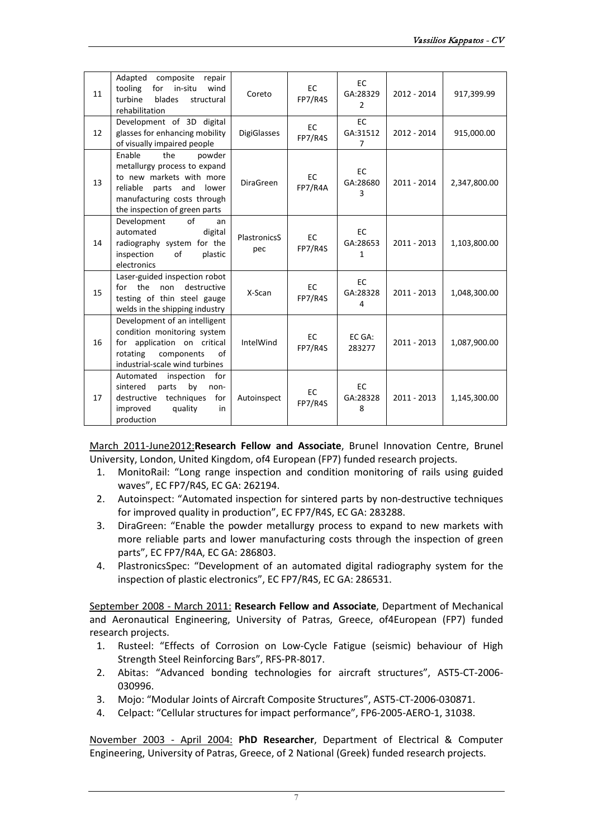| 11 | Adapted<br>composite<br>repair<br>for<br>in-situ<br>tooling<br>wind<br>turbine<br>blades<br>structural<br>rehabilitation                                                                 | Coreto                     | <b>EC</b><br>FP7/R4S | EC.<br>GA:28329<br>$\overline{2}$       | 2012 - 2014   | 917,399.99   |
|----|------------------------------------------------------------------------------------------------------------------------------------------------------------------------------------------|----------------------------|----------------------|-----------------------------------------|---------------|--------------|
| 12 | Development of 3D digital<br>glasses for enhancing mobility<br>of visually impaired people                                                                                               | <b>DigiGlasses</b>         | <b>EC</b><br>FP7/R4S | <b>EC</b><br>GA:31512<br>$\overline{7}$ | 2012 - 2014   | 915,000.00   |
| 13 | the<br>Enable<br>powder<br>metallurgy process to expand<br>to new markets with more<br>reliable<br>parts<br>and<br>lower<br>manufacturing costs through<br>the inspection of green parts | <b>DiraGreen</b>           | EC<br>FP7/R4A        | <b>EC</b><br>GA:28680<br>3              | 2011 - 2014   | 2,347,800.00 |
| 14 | of<br>Development<br>an<br>automated<br>digital<br>radiography system for the<br>inspection<br>of<br>plastic<br>electronics                                                              | <b>PlastronicsS</b><br>pec | <b>EC</b><br>FP7/R4S | <b>EC</b><br>GA:28653<br>$\mathbf{1}$   | $2011 - 2013$ | 1,103,800.00 |
| 15 | Laser-guided inspection robot<br>for the<br>destructive<br>non<br>testing of thin steel gauge<br>welds in the shipping industry                                                          | X-Scan                     | <b>EC</b><br>FP7/R4S | EC<br>GA:28328<br>4                     | $2011 - 2013$ | 1,048,300.00 |
| 16 | Development of an intelligent<br>condition monitoring system<br>for application on critical<br>components<br>of<br>rotating<br>industrial-scale wind turbines                            | IntelWind                  | <b>EC</b><br>FP7/R4S | EC GA:<br>283277                        | 2011 - 2013   | 1,087,900.00 |
| 17 | Automated<br>inspection<br>for<br>by<br>sintered<br>parts<br>non-<br>destructive techniques<br>for<br>improved<br>quality<br>in<br>production                                            | Autoinspect                | <b>EC</b><br>FP7/R4S | <b>EC</b><br>GA:28328<br>8              | $2011 - 2013$ | 1,145,300.00 |

March 2011-June2012:**Research Fellow and Associate**, Brunel Innovation Centre, Brunel University, London, United Kingdom, of4 European (FP7) funded research projects.

- 1. MonitoRail: "Long range inspection and condition monitoring of rails using guided waves", EC FP7/R4S, EC GA: 262194.
- 2. Autoinspect: "Automated inspection for sintered parts by non-destructive techniques for improved quality in production", EC FP7/R4S, EC GA: 283288.
- 3. DiraGreen: "Enable the powder metallurgy process to expand to new markets with more reliable parts and lower manufacturing costs through the inspection of green parts", EC FP7/R4A, EC GA: 286803.
- 4. PlastronicsSpec: "Development of an automated digital radiography system for the inspection of plastic electronics", EC FP7/R4S, EC GA: 286531.

September 2008 - March 2011: **Research Fellow and Associate**, Department of Mechanical and Aeronautical Engineering, University of Patras, Greece, of4European (FP7) funded research projects.

- 1. Rusteel: "Effects of Corrosion on Low-Cycle Fatigue (seismic) behaviour of High Strength Steel Reinforcing Bars", RFS-PR-8017.
- 2. Abitas: "Advanced bonding technologies for aircraft structures", AST5-CT-2006- 030996.
- 3. Mojo: "Modular Joints of Aircraft Composite Structures", AST5-CT-2006-030871.
- 4. Celpact: "Cellular structures for impact performance", FP6-2005-AERO-1, 31038.

November 2003 - April 2004: **PhD Researcher**, Department of Electrical & Computer Engineering, University of Patras, Greece, of 2 National (Greek) funded research projects.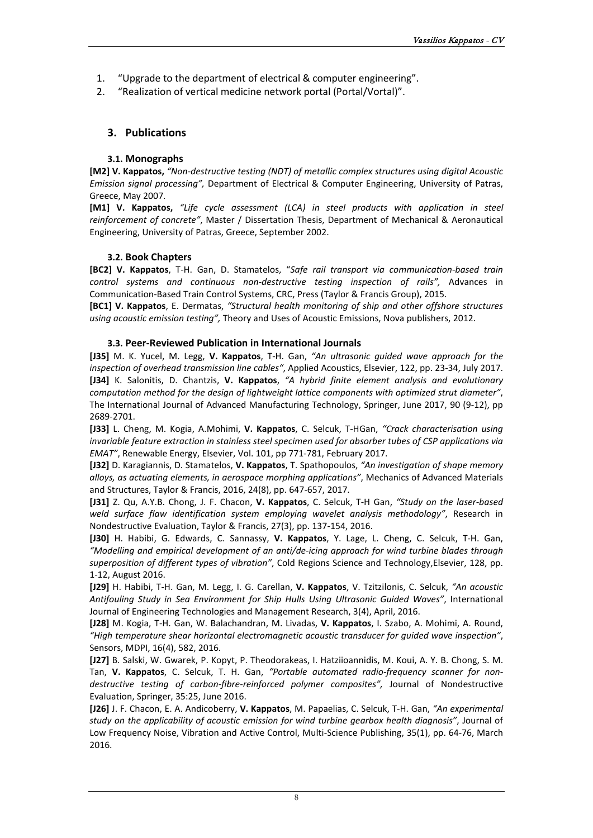- 1. "Upgrade to the department of electrical & computer engineering".
- 2. "Realization of vertical medicine network portal (Portal/Vortal)".

# <span id="page-8-0"></span>**3. Publications**

# **3.1. Monographs**

<span id="page-8-1"></span>**[M2] V. Kappatos,** *"Non-destructive testing (NDT) of metallic complex structures using digital Acoustic Emission signal processing",* Department of Electrical & Computer Engineering, University of Patras, Greece, May 2007.

**[M1] V. Kappatos,** *"Life cycle assessment (LCA) in steel products with application in steel reinforcement of concrete"*, Master / Dissertation Thesis, Department of Mechanical & Aeronautical Engineering, University of Patras, Greece, September 2002.

# **3.2. Book Chapters**

<span id="page-8-2"></span>**[BC2] V. Kappatos**, T-H. Gan, D. Stamatelos, "*Safe rail transport via communication-based train control systems and continuous non-destructive testing inspection of rails",* Advances in Communication-Based Train Control Systems, CRC, Press (Taylor & Francis Group), 2015.

**[BC1] V. Kappatos**, E. Dermatas, *"Structural health monitoring of ship and other offshore structures using acoustic emission testing",* Theory and Uses of Acoustic Emissions, Nova publishers, 2012.

#### **3.3. Peer-Reviewed Publication in International Journals**

<span id="page-8-3"></span>**[J35]** M. K. Yucel, M. Legg, **V. Kappatos**, T-H. Gan, *"An ultrasonic guided wave approach for the inspection of overhead transmission line cables"*, Applied Acoustics, Elsevier, 122, pp. 23-34, July 2017. **[J34]** K. Salonitis, D. Chantzis, **V. Kappatos**, *"A hybrid finite element analysis and evolutionary computation method for the design of lightweight lattice components with optimized strut diameter"*, The International Journal of Advanced Manufacturing Technology, Springer, June 2017, 90 (9-12), pp 2689-2701.

**[J33]** L. Cheng, M. Kogia, A.Mohimi, **V. Kappatos**, C. Selcuk, T-HGan, *"Crack characterisation using invariable feature extraction in stainless steel specimen used for absorber tubes of CSP applications via EMAT"*, Renewable Energy, Elsevier, Vol. 101, pp 771-781, February 2017.

**[J32]** D. Karagiannis, D. Stamatelos, **V. Kappatos**, T. Spathopoulos, *"An investigation of shape memory alloys, as actuating elements, in aerospace morphing applications"*, Mechanics of Advanced Materials and Structures, Taylor & Francis, 2016, 24(8), pp. 647-657, 2017.

**[J31]** Z. Qu, A.Y.B. Chong, J. F. Chacon, **V. Kappatos**, C. Selcuk, T-H Gan, *"Study on the laser-based weld surface flaw identification system employing wavelet analysis methodology"*, Research in Nondestructive Evaluation, Taylor & Francis, 27(3), pp. 137-154, 2016.

**[J30]** H. Habibi, G. Edwards, C. Sannassy, **V. Kappatos**, Y. Lage, L. Cheng, C. Selcuk, T-H. Gan, *"Modelling and empirical development of an anti/de-icing approach for wind turbine blades through superposition of different types of vibration"*, Cold Regions Science and Technology,Elsevier, 128, pp. 1-12, August 2016.

**[J29]** H. Habibi, T-H. Gan, M. Legg, I. G. Carellan, **V. Kappatos**, V. Tzitzilonis, C. Selcuk, *"An acoustic Antifouling Study in Sea Environment for Ship Hulls Using Ultrasonic Guided Waves"*, International Journal of Engineering Technologies and Management Research, 3(4), April, 2016.

**[J28]** M. Kogia, T-H. Gan, W. Balachandran, M. Livadas, **V. Kappatos**, I. Szabo, A. Mohimi, A. Round, *"High temperature shear horizontal electromagnetic acoustic transducer for guided wave inspection"*, Sensors, MDPI, 16(4), 582, 2016.

**[J27]** B. Salski, W. Gwarek, P. Kopyt, P. Theodorakeas, I. Hatziioannidis, M. Koui, A. Y. B. Chong, S. M. Tan, **V. Kappatos**, C. Selcuk, T. H. Gan, *"Portable automated radio-frequency scanner for nondestructive testing of carbon-fibre-reinforced polymer composites",* Journal of Nondestructive Evaluation, Springer, 35:25, June 2016.

**[J26]** J. F. Chacon, E. A. Andicoberry, **V. Kappatos**, M. Papaelias, C. Selcuk, T-H. Gan, *"An experimental study on the applicability of acoustic emission for wind turbine gearbox health diagnosis"*, Journal of Low Frequency Noise, Vibration and Active Control, Multi-Science Publishing, 35(1), pp. 64-76, March 2016.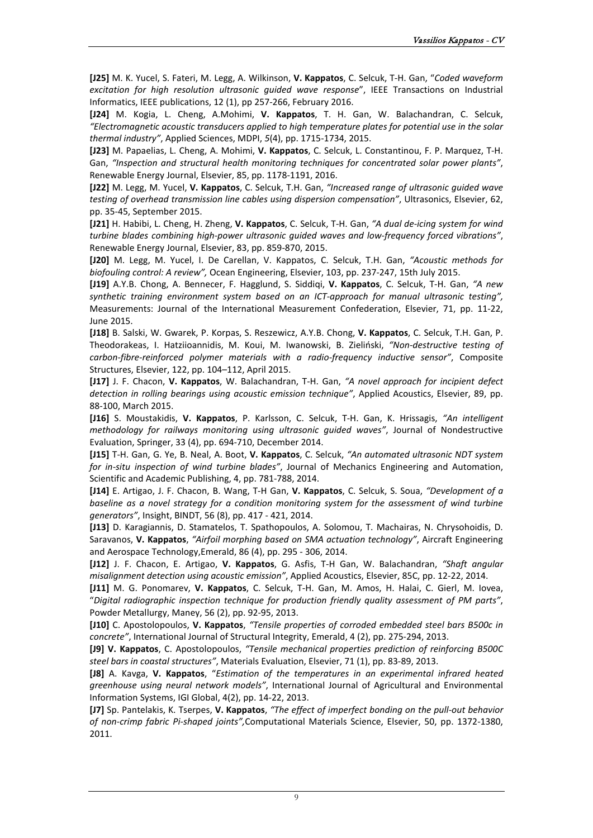**[J25]** M. K. Yucel, S. Fateri, M. Legg, A. Wilkinson, **V. Kappatos**, C. Selcuk, T-H. Gan, "*Coded waveform excitation for high resolution ultrasonic guided wave response*", IEEE Transactions on Industrial Informatics, IEEE publications, 12 (1), pp 257-266, February 2016.

**[J24]** M. Kogia, L. Cheng, A.Mohimi, **V. Kappatos**, T. H. Gan, W. Balachandran, C. Selcuk, *"Electromagnetic acoustic transducers applied to high temperature plates for potential use in the solar thermal industry"*, Applied Sciences, MDPI, *5*(4), pp. 1715-1734, 2015.

**[J23]** M. Papaelias, L. Cheng, A. Mohimi, **V. Kappatos**, C. Selcuk, L. Constantinou, F. P. Marquez, T-H. Gan, *"Inspection and structural health monitoring techniques for concentrated solar power plants"*, Renewable Energy Journal, Elsevier, 85, pp. 1178-1191, 2016.

**[J22]** M. Legg, M. Yucel, **V. Kappatos**, C. Selcuk, T.H. Gan, *"Increased range of ultrasonic guided wave testing of overhead transmission line cables using dispersion compensation"*, Ultrasonics, Elsevier, 62, pp. 35-45, September 2015.

**[J21]** H. Habibi, L. Cheng, H. Zheng, **V. Kappatos**, C. Selcuk, T-H. Gan, *"A dual de-icing system for wind turbine blades combining high-power ultrasonic guided waves and low-frequency forced vibrations"*, Renewable Energy Journal, Elsevier, [83,](http://www.sciencedirect.com/science/journal/09601481/83/supp/C) pp. 859-870, 2015.

**[J20]** M. Legg, M. Yucel, I. De Carellan, V. Kappatos, C. Selcuk, T.H. Gan, *"Acoustic methods for biofouling control: A review",* Ocean Engineering, Elsevier, 103, pp. 237-247, 15th July 2015.

**[J19]** A.Y.B. Chong, A. Bennecer, F. Hagglund, S. Siddiqi, **V. Kappatos**, C. Selcuk, T-H. Gan, *"A new synthetic training environment system based on an ICT-approach for manual ultrasonic testing",* Measurements: Journal of the International Measurement Confederation, Elsevier, 71, pp. 11-22, June 2015.

**[J18]** B. Salski, W. Gwarek, P. Korpas, S. Reszewicz, A.Y.B. Chong, **V. Kappatos**, C. Selcuk, T.H. Gan, P. Theodorakeas, I. Hatziioannidis, M. Koui, M. Iwanowski, B. Zieliński, *"Non-destructive testing of carbon-fibre-reinforced polymer materials with a radio-frequency inductive sensor"*, Composite Structures, Elsevier[, 122,](http://www.sciencedirect.com/science/journal/02638223/122/supp/C) pp. 104–112, April 2015.

**[J17]** J. F. Chacon, **V. Kappatos**, W. Balachandran, T-H. Gan, *"A novel approach for incipient defect detection in rolling bearings using acoustic emission technique"*, Applied Acoustics, Elsevier, 89, pp. 88-100, March 2015.

**[J16]** S. Moustakidis, **V. Kappatos**, P. Karlsson, C. Selcuk, T-H. Gan, K. Hrissagis, *"An intelligent methodology for railways monitoring using ultrasonic guided waves"*, Journal of Nondestructive Evaluation, Springer, 33 (4), pp. 694-710, December 2014.

**[J15]** T-H. Gan, G. Ye, B. Neal, A. Boot, **V. Kappatos**, C. Selcuk, *"An automated ultrasonic NDT system for in-situ inspection of wind turbine blades"*, Journal of Mechanics Engineering and Automation, Scientific and Academic Publishing, 4, pp. 781-788, 2014.

**[J14]** E. Artigao, J. F. Chacon, B. Wang, T-H Gan, **V. Kappatos**, C. Selcuk, S. Soua, *"Development of a baseline as a novel strategy for a condition monitoring system for the assessment of wind turbine generators"*, Insight, BINDT, 56 (8), pp. 417 - 421, 2014.

**[J13]** D. Karagiannis, D. Stamatelos, T. Spathopoulos, A. Solomou, T. Machairas, N. Chrysohoidis, D. Saravanos, **V. Kappatos**, *"Airfoil morphing based on SMA actuation technology"*, Aircraft Engineering and Aerospace Technology,Emerald, 86 (4), pp. 295 - 306, 2014.

**[J12]** J. F. Chacon, E. Artigao, **V. Kappatos**, G. Asfis, T-H Gan, W. Balachandran, *"Shaft angular misalignment detection using acoustic emission"*, Applied Acoustics, Elsevier, 85C, pp. 12-22, 2014.

**[J11]** M. G. Ponomarev, **V. Kappatos**, C. Selcuk, T-H. Gan, M. Amos, H. Halai, C. Gierl, M. Iovea, "*Digital radiographic inspection technique for production friendly quality assessment of PM parts"*, Powder Metallurgy, Maney, 56 (2), pp. 92-95, 2013.

**[J10]** C. Apostolopoulos, **V. Kappatos**, *"Tensile properties of corroded embedded steel bars B500c in concrete"*, International Journal of Structural Integrity, Emerald, 4 (2), pp. 275-294, 2013.

**[J9] V. Kappatos**, C. Apostolopoulos, *"Tensile mechanical properties prediction of reinforcing B500C steel bars in coastal structures"*, Materials Evaluation, Elsevier, 71 (1), pp. 83-89, 2013.

**[J8]** A. Kavga, **V. Kappatos**, "*Estimation of the temperatures in an experimental infrared heated greenhouse using neural network models"*, International Journal of Agricultural and Environmental Information Systems, IGI Global, 4(2), pp. 14-22, 2013.

**[J7]** Sp. Pantelakis, K. Tserpes, **V. Kappatos**, *"The effect of imperfect bonding on the pull-out behavior of non-crimp fabric Pi-shaped joints",*Computational Materials Science, Elsevier, 50, pp. 1372-1380, 2011.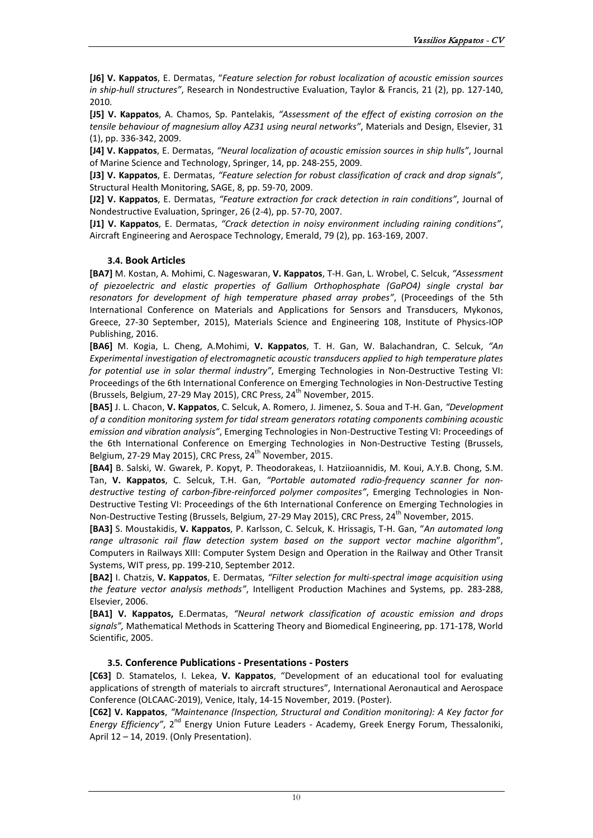**[J6] V. Kappatos**, E. Dermatas, "*Feature selection for robust localization of acoustic emission sources in ship-hull structures"*, Research in Nondestructive Evaluation, Taylor & Francis, 21 (2), pp. 127-140, 2010.

**[J5] V. Kappatos**, A. Chamos, Sp. Pantelakis, *"Assessment of the effect of existing corrosion on the tensile behaviour of magnesium alloy AZ31 using neural networks"*, Materials and Design, Elsevier, 31 (1), pp. 336-342, 2009.

**[J4] V. Kappatos**, E. Dermatas, *"Neural localization of acoustic emission sources in ship hulls"*, Journal of Marine Science and Technology, Springer, 14, pp. 248-255, 2009.

**[J3] V. Kappatos**, E. Dermatas, *"Feature selection for robust classification of crack and drop signals"*, Structural Health Monitoring, SAGE, 8, pp. 59-70, 2009.

**[J2] V. Kappatos**, E. Dermatas, *"Feature extraction for crack detection in rain conditions"*, Journal of Nondestructive Evaluation, Springer, 26 (2-4), pp. 57-70, 2007.

**[J1] V. Kappatos**, E. Dermatas, *"Crack detection in noisy environment including raining conditions"*, Aircraft Engineering and Aerospace Technology, Emerald, 79 (2), pp. 163-169, 2007.

#### **3.4. Book Articles**

<span id="page-10-0"></span>**[BA7]** M. Kostan, A. Mohimi, C. Nageswaran, **V. Kappatos**, T-H. Gan, L. Wrobel, C. Selcuk, *"Assessment of piezoelectric and elastic properties of Gallium Orthophosphate (GaPO4) single crystal bar resonators for development of high temperature phased array probes"*, (Proceedings of the 5th International Conference on Materials and Applications for Sensors and Transducers, Mykonos, Greece, 27-30 September, 2015), Materials Science and Engineering 108, Institute of Physics-IOP Publishing, 2016.

**[BA6]** M. Kogia, L. Cheng, A.Mohimi, **V. Kappatos**, T. H. Gan, W. Balachandran, C. Selcuk, *"An Experimental investigation of electromagnetic acoustic transducers applied to high temperature plates for potential use in solar thermal industry"*, Emerging Technologies in Non-Destructive Testing VI: Proceedings of the 6th International Conference on Emerging Technologies in Non-Destructive Testing (Brussels, Belgium, 27-29 May 2015), CRC Press, 24<sup>th</sup> November, 2015.

**[BA5]** J. L. Chacon, **V. Kappatos**, C. Selcuk, A. Romero, J. Jimenez, S. Soua and T-H. Gan, *"Development of a condition monitoring system for tidal stream generators rotating components combining acoustic emission and vibration analysis"*, Emerging Technologies in Non-Destructive Testing VI: Proceedings of the 6th International Conference on Emerging Technologies in Non-Destructive Testing (Brussels, Belgium, 27-29 May 2015), CRC Press,  $24<sup>th</sup>$  November, 2015.

**[BA4]** B. Salski, W. Gwarek, P. Kopyt, P. Theodorakeas, I. Hatziioannidis, M. Koui, A.Y.B. Chong, S.M. Tan, **V. Kappatos**, C. Selcuk, T.H. Gan, *"Portable automated radio-frequency scanner for nondestructive testing of carbon-fibre-reinforced polymer composites"*, Emerging Technologies in Non-Destructive Testing VI: Proceedings of the 6th International Conference on Emerging Technologies in Non-Destructive Testing (Brussels, Belgium, 27-29 May 2015), CRC Press, 24<sup>th</sup> November, 2015.

**[BA3]** S. Moustakidis, **V. Kappatos**, P. Karlsson, C. Selcuk, K. Hrissagis, T-H. Gan, "*An automated long range ultrasonic rail flaw detection system based on the support vector machine algorithm*", Computers in Railways XIII: Computer System Design and Operation in the Railway and Other Transit Systems, WIT press, pp. 199-210, September 2012.

**[BA2]** I. Chatzis, **V. Kappatos**, E. Dermatas, *"Filter selection for multi-spectral image acquisition using the feature vector analysis methods"*, Intelligent Production Machines and Systems, pp. 283-288, Elsevier, 2006.

**[BA1] V. Kappatos,** E.Dermatas, *"Neural network classification of acoustic emission and drops signals",* Mathematical Methods in Scattering Theory and Biomedical Engineering, pp. 171-178, World Scientific, 2005.

#### **3.5. Conference Publications - Presentations - Posters**

**[C63]** D. Stamatelos, I. Lekea, **V. Kappatos**, "Development of an educational tool for evaluating applications of strength of materials to aircraft structures"*,* [International Aeronautical and Aerospace](http://outlookconferences.com/olcnsfc-2019/)  [Conference \(OLCAAC-2019\),](http://outlookconferences.com/olcnsfc-2019/) Venice, Italy, 14-15 [November, 2019.](http://outlookconferences.com/olcnsfc-2019/) (Poster).

**[C62] V. Kappatos**, *"Maintenance (Inspection, Structural and Condition monitoring): A Key factor for Energy Efficiency"*, 2<sup>nd</sup> Energy Union Future Leaders - Academy, Greek Energy Forum, Thessaloniki, April 12 – 14, 2019. (Only Presentation).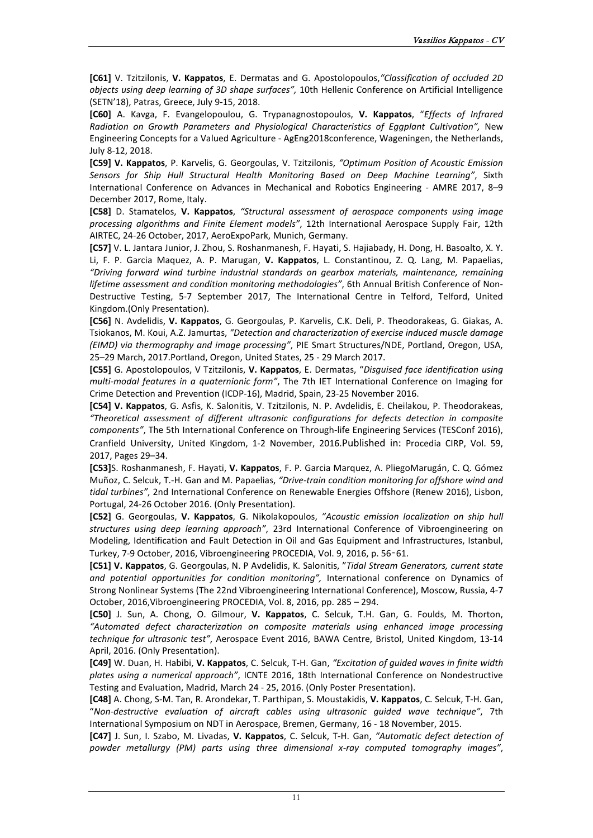**[C61]** V. Tzitzilonis, **V. Kappatos**, E. Dermatas and G. Apostolopoulos,*"Classification of occluded 2D objects using deep learning of 3D shape surfaces",* 10th Hellenic Conference on Artificial Intelligence (SETN'18), Patras, Greece, July 9-15, 2018.

**[C60]** A. Kavga, F. Evangelopoulou, G. Trypanagnostopoulos, **V. Kappatos**, "*Effects of Infrared Radiation on Growth Parameters and Physiological Characteristics of Eggplant Cultivation",* New Engineering Concepts for a Valued Agriculture - AgEng2018conference, Wageningen, the Netherlands, July 8-12, 2018.

**[C59] V. Kappatos**, P. Karvelis, G. Georgoulas, V. Tzitzilonis, *"Optimum Position of Acoustic Emission Sensors for Ship Hull Structural Health Monitoring Based on Deep Machine Learning"*, Sixth International Conference on Advances in Mechanical and Robotics Engineering - AMRE 2017, 8–9 December 2017, Rome, Italy.

**[C58]** D. Stamatelos, **V. Kappatos**, *"Structural assessment of aerospace components using image processing algorithms and Finite Element models"*, 12th International Aerospace Supply Fair, 12th AIRTEC, 24-26 October, 2017, AeroExpoPark, Munich, Germany.

**[C57]** V. L. Jantara Junior, J. Zhou, S. Roshanmanesh, F. Hayati, S. Hajiabady, H. Dong, H. Basoalto, X. Y. Li, F. P. Garcia Maquez, A. P. Marugan, **V. Kappatos**, L. Constantinou, Z. Q. Lang, M. Papaelias, *"Driving forward wind turbine industrial standards on gearbox materials, maintenance, remaining lifetime assessment and condition monitoring methodologies"*, 6th Annual British Conference of Non-Destructive Testing, 5-7 September 2017, The International Centre in Telford, Telford, United Kingdom.(Only Presentation).

**[C56]** N. Avdelidis, **V. Kappatos**, G. Georgoulas, P. Karvelis, C.K. Deli, P. Theodorakeas, G. Giakas, A. Tsiokanos, M. Koui, A.Z. Jamurtas, *"Detection and characterization of exercise induced muscle damage (EIMD) via thermography and image processing"*, PIE Smart Structures/NDE, Portland, Oregon, USA, 25–29 March, 2017.Portland, Oregon, United States, 25 - 29 March 2017.

**[C55]** G. Apostolopoulos, V Tzitzilonis, **V. Kappatos**, E. Dermatas, "*Disguised face identification using multi-modal features in a quaternionic form"*, The 7th IET International Conference on Imaging for Crime Detection and Prevention (ICDP-16), Madrid, Spain, 23-25 November 2016.

**[C54] V. Kappatos**, G. Asfis, K. Salonitis, V. Tzitzilonis, N. P. Avdelidis, E. Cheilakou, P. Theodorakeas, *"Theoretical assessment of different ultrasonic configurations for defects detection in composite components"*, The 5th International Conference on Through-life Engineering Services (TESConf 2016), Cranfield University, United Kingdom, 1-2 November, 2016.Published in: Procedia CIRP, Vol. 59, 2017, Pages 29–34.

**[C53]**S. Roshanmanesh, F. Hayati, **V. Kappatos**, F. P. Garcia Marquez, A. PliegoMarugán, C. Q. Gómez Muñoz, C. Selcuk, T.-H. Gan and M. Papaelias, *"Drive-train condition monitoring for offshore wind and tidal turbines"*, 2nd International Conference on Renewable Energies Offshore (Renew 2016), Lisbon, Portugal, 24-26 October 2016. (Only Presentation).

**[C52]** G. Georgoulas, **V. Kappatos**, G. Nikolakopoulos, *"Acoustic emission localization on ship hull structures using deep learning approach"*, 23rd International Conference of Vibroengineering on Modeling, Identification and Fault Detection in Oil and Gas Equipment and Infrastructures, Istanbul, Turkey, 7-9 October, 2016, Vibroengineering PROCEDIA, Vol. 9, 2016, p. 56‑61.

**[C51] V. Kappatos**, G. Georgoulas, N. P Avdelidis, K. Salonitis, "*Tidal Stream Generators, current state and potential opportunities for condition monitoring",* International conference on Dynamics of Strong Nonlinear Systems (The 22nd Vibroengineering International Conference), Moscow, Russia, 4-7 October, 2016,Vibroengineering PROCEDIA, Vol. 8, 2016, pp. 285 – 294.

**[C50]** J. Sun, A. Chong, O. Gilmour, **V. Kappatos**, C. Selcuk, T.H. Gan, G. Foulds, M. Thorton, *"Automated defect characterization on composite materials using enhanced image processing technique for ultrasonic test"*, Aerospace Event 2016, BAWA Centre, Bristol, United Kingdom, 13-14 April, 2016. (Only Presentation).

**[C49]** W. Duan, H. Habibi, **V. Kappatos**, C. Selcuk, T-H. Gan, *"Excitation of guided waves in finite width plates using a numerical approach"*, ICNTE 2016, 18th International Conference on Nondestructive Testing and Evaluation, Madrid, March 24 - 25, 2016. (Only Poster Presentation).

**[C48]** A. Chong, S-M. Tan, R. Arondekar, T. Parthipan, S. Moustakidis, **V. Kappatos**, C. Selcuk, T-H. Gan, "*Non-destructive evaluation of aircraft cables using ultrasonic guided wave technique"*, 7th International Symposium on NDT in Aerospace, Bremen, Germany, 16 - 18 November, 2015.

**[C47]** J. Sun, I. Szabo, M. Livadas, **V. Kappatos**, C. Selcuk, T-H. Gan, *"Automatic defect detection of powder metallurgy (PM) parts using three dimensional x-ray computed tomography images"*,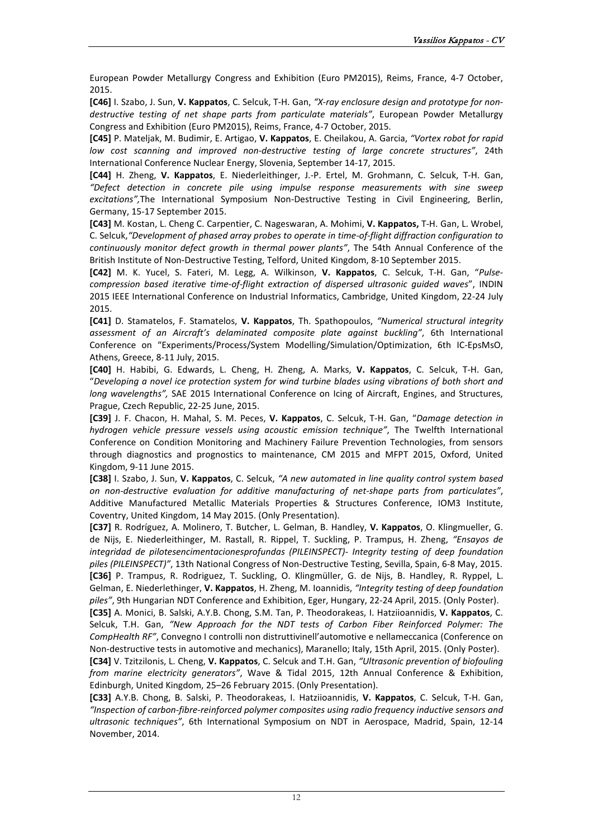European Powder Metallurgy Congress and Exhibition (Euro PM2015), Reims, France, 4-7 October, 2015.

**[C46]** I. Szabo, J. Sun, **V. Kappatos**, C. Selcuk, T-H. Gan, *"X-ray enclosure design and prototype for nondestructive testing of net shape parts from particulate materials"*, European Powder Metallurgy Congress and Exhibition (Euro PM2015), Reims, France, 4-7 October, 2015.

**[C45]** P. Mateljak, M. Budimir, E. Artigao, **V. Kappatos**, E. Cheilakou, A. Garcia, *"Vortex robot for rapid low cost scanning and improved non-destructive testing of large concrete structures"*, 24th International Conference Nuclear Energy, Slovenia, September 14-17, 2015.

**[C44]** H. Zheng, **V. Kappatos**, E. Niederleithinger, J.-P. Ertel, M. Grohmann, C. Selcuk, T-H. Gan, *"Defect detection in concrete pile using impulse response measurements with sine sweep excitations",*The International Symposium Non-Destructive Testing in Civil Engineering, Berlin, Germany, 15-17 September 2015.

**[C43]** M. Kostan, L. Cheng C. Carpentier, C. Nageswaran, A. Mohimi, **V. Kappatos,** T-H. Gan, L. Wrobel, C. Selcuk,*"Development of phased array probes to operate in time-of-flight diffraction configuration to continuously monitor defect growth in thermal power plants"*, The 54th Annual Conference of the British Institute of Non-Destructive Testing, Telford, United Kingdom, 8-10 September 2015.

**[C42]** M. K. Yucel, S. Fateri, M. Legg, A. Wilkinson, **V. Kappatos**, C. Selcuk, T-H. Gan, "*Pulsecompression based iterative time-of-flight extraction of dispersed ultrasonic guided waves*", INDIN 2015 IEEE International Conference on Industrial Informatics, Cambridge, United Kingdom, 22-24 July 2015.

**[C41]** D. Stamatelos, F. Stamatelos, **V. Kappatos**, Th. Spathopoulos, *"Numerical structural integrity assessment of an Aircraft's delaminated composite plate against buckling"*, 6th International Conference on "Experiments/Process/System Modelling/Simulation/Optimization, 6th IC-EpsMsO, Athens, Greece, 8-11 July, 2015.

**[C40]** H. Habibi, G. Edwards, L. Cheng, H. Zheng, A. Marks, **V. Kappatos**, C. Selcuk, T-H. Gan, "*Developing a novel ice protection system for wind turbine blades using vibrations of both short and long wavelengths",* SAE 2015 International Conference on Icing of Aircraft, Engines, and Structures, Prague, Czech Republic, 22-25 June, 2015.

**[C39]** J. F. Chacon, H. Mahal, S. M. Peces, **V. Kappatos**, C. Selcuk, T-H. Gan, "*Damage detection in hydrogen vehicle pressure vessels using acoustic emission technique"*, The Twelfth International Conference on Condition Monitoring and Machinery Failure Prevention Technologies, from sensors through diagnostics and prognostics to maintenance, CM 2015 and MFPT 2015, Oxford, United Kingdom, 9-11 June 2015.

**[C38]** I. Szabo, J. Sun, **V. Kappatos**, C. Selcuk, *"A new automated in line quality control system based on non-destructive evaluation for additive manufacturing of net-shape parts from particulates"*, Additive Manufactured Metallic Materials Properties & Structures Conference, IOM3 Institute, Coventry, United Kingdom, 14 May 2015. (Only Presentation).

**[C37]** R. Rodríguez, A. Molinero, T. Butcher, L. Gelman, B. Handley, **V. Kappatos**, O. Klingmueller, G. de Nijs, E. Niederleithinger, M. Rastall, R. Rippel, T. Suckling, P. Trampus, H. Zheng, *"Ensayos de integridad de pilotesencimentacionesprofundas (PILEINSPECT)- Integrity testing of deep foundation piles (PILEINSPECT)"*, [13th National Congress of Non-Destructive Testing,](http://www.aendsevilla2015.com/) Sevilla, Spain, 6-8 May, 2015. **[C36]** P. Trampus, R. Rodriguez, T. Suckling, O. Klingmüller, G. de Nijs, B. Handley, R. Ryppel, L. Gelman, E. Niederlethinger, **V. Kappatos**, H. Zheng, M. Ioannidis, *"Integrity testing of deep foundation piles"*, 9th Hungarian NDT Conference and Exhibition, Eger, Hungary, 22-24 April, 2015. (Only Poster).

**[C35]** A. Monici, B. Salski, A.Y.B. Chong, S.M. Tan, P. Theodorakeas, I. Hatziioannidis, **V. Kappatos**, C. Selcuk, T.H. Gan, *"New Approach for the NDT tests of Carbon Fiber Reinforced Polymer: The CompHealth RF"*, Convegno I controlli non distruttivinell'automotive e nellameccanica (Conference on Non-destructive tests in automotive and mechanics), Maranello; Italy, 15th April, 2015. (Only Poster).

**[C34]** V. Tzitzilonis, L. Cheng, **V. Kappatos**, C. Selcuk and T.H. Gan, *"Ultrasonic prevention of biofouling from marine electricity generators"*, Wave & Tidal 2015, 12th Annual Conference & Exhibition, Edinburgh, United Kingdom, 25–26 February 2015. (Only Presentation).

**[C33]** A.Y.B. Chong, B. Salski, P. Theodorakeas, I. Hatziioannidis, **V. Kappatos**, C. Selcuk, T-H. Gan, *"Inspection of carbon-fibre-reinforced polymer composites using radio frequency inductive sensors and ultrasonic techniques"*, 6th International Symposium on NDT in Aerospace, Madrid, Spain, 12-14 November, 2014.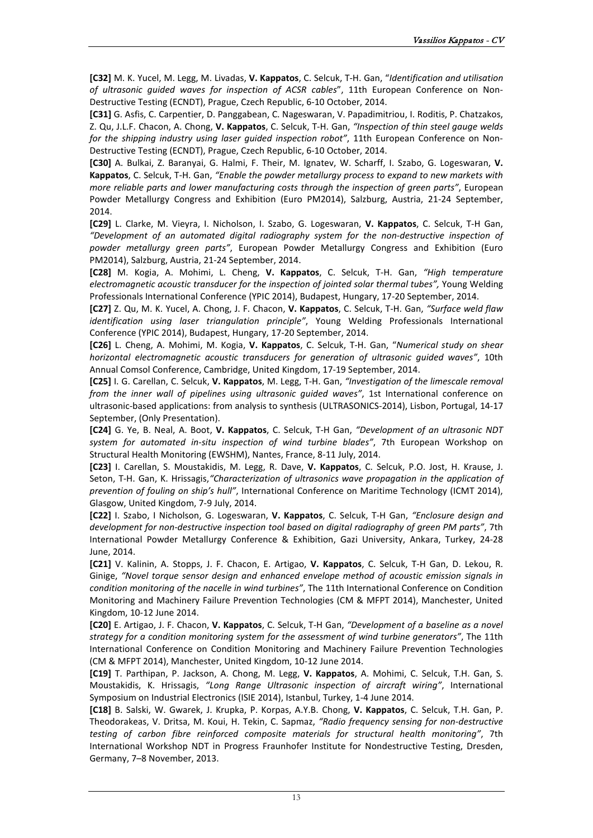**[C32]** M. K. Yucel, M. Legg, M. Livadas, **V. Kappatos**, C. Selcuk, T-H. Gan, "*Identification and utilisation of ultrasonic guided waves for inspection of ACSR cables*", 11th European Conference on Non-Destructive Testing (ECNDT), Prague, Czech Republic, 6-10 October, 2014.

**[C31]** G. Asfis, C. Carpentier, D. Panggabean, C. Nageswaran, V. Papadimitriou, I. Roditis, P. Chatzakos, Z. Qu, J.L.F. Chacon, A. Chong, **V. Kappatos**, C. Selcuk, T-H. Gan, *"Inspection of thin steel gauge welds for the shipping industry using laser guided inspection robot"*, 11th European Conference on Non-Destructive Testing (ECNDT), Prague, Czech Republic, 6-10 October, 2014.

**[C30]** A. Bulkai, Z. Baranyai, G. Halmi, F. Their, M. Ignatev, W. Scharff, I. Szabo, G. Logeswaran, **V. Kappatos**, C. Selcuk, T-H. Gan, *"Enable the powder metallurgy process to expand to new markets with more reliable parts and lower manufacturing costs through the inspection of green parts"*, European Powder Metallurgy Congress and Exhibition (Euro PM2014), Salzburg, Austria, 21-24 September, 2014.

**[C29]** L. Clarke, M. Vieyra, I. Nicholson, I. Szabo, G. Logeswaran, **V. Kappatos**, C. Selcuk, T-H Gan, *"Development of an automated digital radiography system for the non-destructive inspection of powder metallurgy green parts"*, European Powder Metallurgy Congress and Exhibition (Euro PM2014), Salzburg, Austria, 21-24 September, 2014.

**[C28]** M. Kogia, A. Mohimi, L. Cheng, **V. Kappatos**, C. Selcuk, T-H. Gan, *"High temperature electromagnetic acoustic transducer for the inspection of jointed solar thermal tubes",* Young Welding Professionals International Conference (YPIC 2014), Budapest, Hungary, 17-20 September, 2014.

**[C27]** Z. Qu, M. K. Yucel, A. Chong, J. F. Chacon, **V. Kappatos**, C. Selcuk, T-H. Gan, *"Surface weld flaw identification using laser triangulation principle"*, Young Welding Professionals International Conference (YPIC 2014), Budapest, Hungary, 17-20 September, 2014.

**[C26]** L. Cheng, A. Mohimi, M. Kogia, **V. Kappatos**, C. Selcuk, T-H. Gan, "*Numerical study on shear horizontal electromagnetic acoustic transducers for generation of ultrasonic guided waves"*, 10th Annual Comsol Conference, Cambridge, United Kingdom, 17-19 September, 2014.

**[C25]** I. G. Carellan, C. Selcuk, **V. Kappatos**, M. Legg, T-H. Gan, *"Investigation of the limescale removal from the inner wall of pipelines using ultrasonic guided waves"*, 1st International conference on ultrasonic-based applications: from analysis to synthesis (ULTRASONICS-2014), Lisbon, Portugal, 14-17 September, (Only Presentation).

**[C24]** G. Ye, B. Neal, A. Boot, **V. Kappatos**, C. Selcuk, T-H Gan, *"Development of an ultrasonic NDT system for automated in-situ inspection of wind turbine blades"*, 7th European Workshop on Structural Health Monitoring (EWSHM), Nantes, France, 8-11 July, 2014.

**[C23]** I. Carellan, S. Moustakidis, M. Legg, R. Dave, **V. Kappatos**, C. Selcuk, P.O. Jost, H. Krause, J. Seton, T-H. Gan, K. Hrissagis,*"Characterization of ultrasonics wave propagation in the application of prevention of fouling on ship's hull"*, International Conference on Maritime Technology (ICMT 2014), Glasgow, United Kingdom, 7-9 July, 2014.

**[C22]** I. Szabo, I Nicholson, G. Logeswaran, **V. Kappatos**, C. Selcuk, T-H Gan, *"Enclosure design and development for non-destructive inspection tool based on digital radiography of green PM parts"*, 7th International Powder Metallurgy Conference & Exhibition, Gazi University, Ankara, Turkey, 24-28 June, 2014.

**[C21]** V. Kalinin, A. Stopps, J. F. Chacon, E. Artigao, **V. Kappatos**, C. Selcuk, T-H Gan, D. Lekou, R. Ginige, *"Novel torque sensor design and enhanced envelope method of acoustic emission signals in condition monitoring of the nacelle in wind turbines"*, The 11th International Conference on Condition Monitoring and Machinery Failure Prevention Technologies (CM & MFPT 2014), Manchester, United Kingdom, 10-12 June 2014.

**[C20]** E. Artigao, J. F. Chacon, **V. Kappatos**, C. Selcuk, T-H Gan, *"Development of a baseline as a novel strategy for a condition monitoring system for the assessment of wind turbine generators"*, The 11th International Conference on Condition Monitoring and Machinery Failure Prevention Technologies (CM & MFPT 2014), Manchester, United Kingdom, 10-12 June 2014.

**[C19]** T. Parthipan, P. Jackson, A. Chong, M. Legg, **V. Kappatos**, A. Mohimi, C. Selcuk, T.H. Gan, S. Moustakidis, K. Hrissagis, *"Long Range Ultrasonic inspection of aircraft wiring"*, International Symposium on Industrial Electronics (ISIE 2014), Istanbul, Turkey, 1-4 June 2014.

**[C18]** B. Salski, W. Gwarek, J. Krupka, P. Korpas, A.Y.B. Chong, **V. Kappatos**, C. Selcuk, T.H. Gan, P. Theodorakeas, V. Dritsa, M. Koui, H. Tekin, C. Sapmaz, *"Radio frequency sensing for non-destructive testing of carbon fibre reinforced composite materials for structural health monitoring"*, 7th International Workshop NDT in Progress Fraunhofer Institute for Nondestructive Testing, Dresden, Germany, 7–8 November, 2013.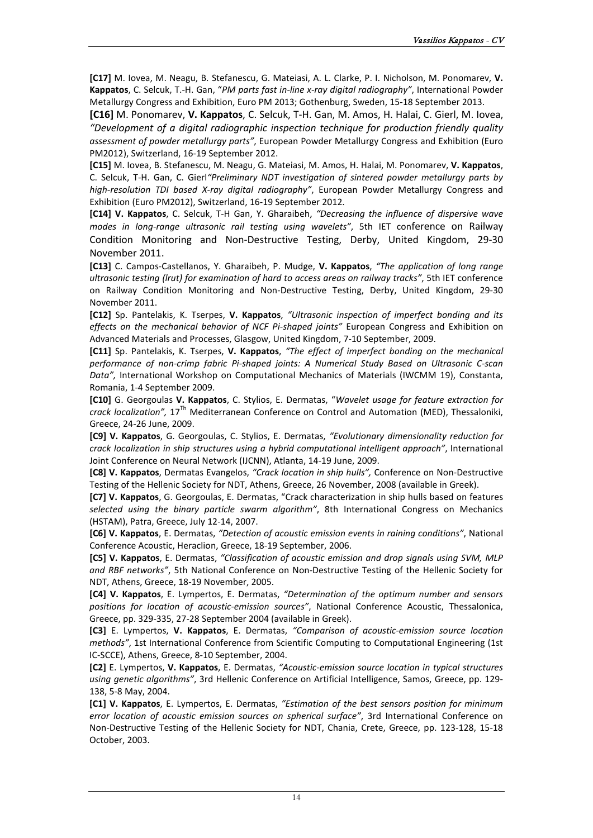**[C17]** M. Iovea, M. Neagu, B. Stefanescu, G. Mateiasi, A. L. Clarke, P. I. Nicholson, M. Ponomarev, **V. Kappatos**, C. Selcuk, T.-H. Gan, "*PM parts fast in-line x-ray digital radiography"*, International Powder Metallurgy Congress and Exhibition, Euro PM 2013; Gothenburg, Sweden, 15-18 September 2013.

**[C16]** M. Ponomarev, **V. Kappatos**, C. Selcuk, T-H. Gan, M. Amos, H. Halai, C. Gierl, M. Iovea, *"Development of a digital radiographic inspection technique for production friendly quality assessment of powder metallurgy parts"*, European Powder Metallurgy Congress and Exhibition (Euro PM2012), Switzerland, 16-19 September 2012.

**[C15]** M. Iovea, B. Stefanescu, M. Neagu, G. Mateiasi, M. Amos, H. Halai, M. Ponomarev, **V. Kappatos**, C. Selcuk, T-H. Gan, C. Gierl*"Preliminary NDT investigation of sintered powder metallurgy parts by high-resolution TDI based X-ray digital radiography"*, European Powder Metallurgy Congress and Exhibition (Euro PM2012), Switzerland, 16-19 September 2012.

**[C14] V. Kappatos**, C. Selcuk, T-H Gan, Y. Gharaibeh, *"Decreasing the influence of dispersive wave modes in long-range ultrasonic rail testing using wavelets"*, 5th IET conference on Railway Condition Monitoring and Non-Destructive Testing, Derby, United Kingdom, 29-30 November 2011.

**[C13]** C. Campos-Castellanos, Y. Gharaibeh, P. Mudge, **V. Kappatos**, *"The application of long range ultrasonic testing (lrut) for examination of hard to access areas on railway tracks"*, 5th IET conference on Railway Condition Monitoring and Non-Destructive Testing, Derby, United Kingdom, 29-30 November 2011.

**[C12]** Sp. Pantelakis, K. Tserpes, **V. Kappatos**, *"Ultrasonic inspection of imperfect bonding and its effects on the mechanical behavior of NCF Pi-shaped joints"* European Congress and Exhibition on Advanced Materials and Processes, Glasgow, United Kingdom, 7-10 September, 2009.

**[C11]** Sp. Pantelakis, K. Tserpes, **V. Kappatos**, *"The effect of imperfect bonding on the mechanical performance of non-crimp fabric Pi-shaped joints: A Numerical Study Based on Ultrasonic C-scan Data",* International Workshop on Computational Mechanics of Materials (IWCMM 19), Constanta, Romania, 1-4 September 2009.

**[C10]** G. Georgoulas **V. Kappatos**, C. Stylios, E. Dermatas, "*Wavelet usage for feature extraction for crack localization",* 17Th Mediterranean Conference on Control and Automation (MED), Thessaloniki, Greece, 24-26 June, 2009.

**[C9] V. Kappatos**, G. Georgoulas, C. Stylios, E. Dermatas, *"Evolutionary dimensionality reduction for crack localization in ship structures using a hybrid computational intelligent approach"*, International Joint Conference on Neural Network (IJCNN), Atlanta, 14-19 June, 2009.

**[C8] V. Kappatos**, Dermatas Evangelos, *"Crack location in ship hulls",* Conference on Non-Destructive Testing of the Hellenic Society for NDT, Athens, Greece, 26 November, 2008 (available in Greek).

**[C7] V. Kappatos**, G. Georgoulas, E. Dermatas, "Crack characterization in ship hulls based on features *selected using the binary particle swarm algorithm"*, 8th International Congress on Mechanics (HSTAM), Patra, Greece, July 12-14, 2007.

**[C6] V. Kappatos**, E. Dermatas, *"Detection of acoustic emission events in raining conditions"*, National Conference Acoustic, Heraclion, Greece, 18-19 September, 2006.

**[C5] V. Kappatos**, E. Dermatas, *"Classification of acoustic emission and drop signals using SVM, MLP and RBF networks"*, 5th National Conference on Non-Destructive Testing of the Hellenic Society for NDT, Athens, Greece, 18-19 November, 2005.

**[C4] V. Kappatos**, E. Lympertos, E. Dermatas, *"Determination of the optimum number and sensors positions for location of acoustic-emission sources"*, National Conference Acoustic, Thessalonica, Greece, pp. 329-335, 27-28 September 2004 (available in Greek).

**[C3]** E. Lympertos, **V. Kappatos**, E. Dermatas, *"Comparison of acoustic-emission source location methods"*, 1st International Conference from Scientific Computing to Computational Engineering (1st IC-SCCE), Athens, Greece, 8-10 September, 2004.

**[C2]** E. Lympertos, **V. Kappatos**, E. Dermatas, *"Acoustic-emission source location in typical structures using genetic algorithms"*, 3rd Hellenic Conference on Artificial Intelligence, Samos, Greece, pp. 129- 138, 5-8 May, 2004.

**[C1] V. Kappatos**, E. Lympertos, E. Dermatas, *"Estimation of the best sensors position for minimum error location of acoustic emission sources on spherical surface"*, 3rd International Conference on Non-Destructive Testing of the Hellenic Society for NDT, Chania, Crete, Greece, pp. 123-128, 15-18 October, 2003.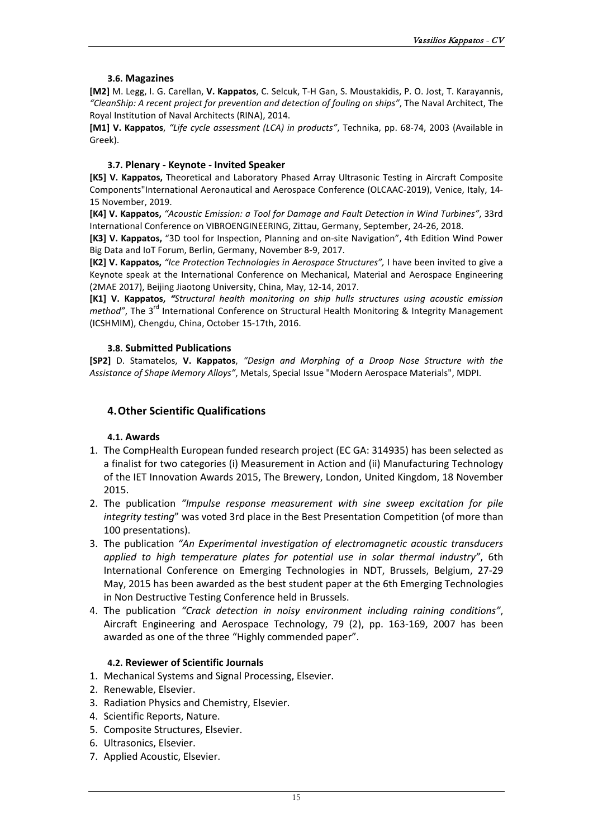# **3.6. Magazines**

<span id="page-15-0"></span>**[M2]** M. Legg, I. G. Carellan, **V. Kappatos**, C. Selcuk, T-H Gan, S. Moustakidis, P. O. Jost, T. Karayannis, *"CleanShip: A recent project for prevention and detection of fouling on ships"*, The Naval Architect, The Royal Institution of Naval Architects (RINA), 2014.

**[M1] V. Kappatos**, *"Life cycle assessment (LCA) in products"*, [Τechnika,](http://www.tekdotiki.gr/) pp. 68-74, 2003 (Available in Greek).

# **3.7. Plenary - Keynote - Invited Speaker**

<span id="page-15-1"></span>**[K5] V. Kappatos,** Theoretical and Laboratory Phased Array Ultrasonic Testing in Aircraft Composite Component[s"International Aeronautical and Aerospace Conference \(OLCAAC-2019\),](http://outlookconferences.com/olcnsfc-2019/) Venice, Italy, 14- 15 [November, 2019.](http://outlookconferences.com/olcnsfc-2019/)

**[K4] V. Kappatos,** *"Acoustic Emission: a Tool for Damage and Fault Detection in Wind Turbines"*, 33rd International Conference on VIBROENGINEERING, Zittau, Germany, September, 24-26, 2018.

**[K3] V. Kappatos,** "3D tool for Inspection, Planning and on-site Navigation", 4th Edition Wind Power Big Data and IoT Forum, Berlin, Germany, November 8-9, 2017.

**[K2] V. Kappatos,** *"Ice Protection Technologies in Aerospace Structures",* I have been invited to give a Keynote speak at the International Conference on Mechanical, Material and Aerospace Engineering (2MAE 2017), Beijing Jiaotong University, China, May, 12-14, 2017.

**[K1] V. Kappatos,** *"Structural health monitoring on ship hulls structures using acoustic emission method"*, The 3<sup>rd</sup> International Conference on Structural Health Monitoring & Integrity Management (ICSHMIM), Chengdu, China, October 15-17th, 2016.

# **3.8. Submitted Publications**

<span id="page-15-2"></span>**[SP2]** D. Stamatelos, **V. Kappatos**, *"Design and Morphing of a Droop Nose Structure with the Assistance of Shape Memory Alloys"*, Metals, Special Issue "Modern Aerospace Materials", MDPI.

# <span id="page-15-3"></span>**4.Other Scientific Qualifications**

# **4.1. Awards**

- <span id="page-15-4"></span>1. The CompHealth European funded research project (EC GA: 314935) has been selected as a finalist for two categories (i) Measurement in Action and (ii) Manufacturing Technology of the IET Innovation Awards 2015, [The Brewery, London, United Kingdom,](http://conferences.theiet.org/innovation/ceremony/index.cfm) 18 November 2015.
- 2. The publication *"Impulse response measurement with sine sweep excitation for pile integrity testing*" was voted 3rd place in the Best Presentation Competition (of more than 100 presentations).
- 3. The publication *"An Experimental investigation of electromagnetic acoustic transducers applied to high temperature plates for potential use in solar thermal industry"*, 6th International Conference on Emerging Technologies in NDT, Brussels, Belgium, 27-29 May, 2015 has been awarded as the best student paper at the 6th Emerging Technologies in Non Destructive Testing Conference held in Brussels.
- 4. The publication *"Crack detection in noisy environment including raining conditions"*, Aircraft Engineering and Aerospace Technology, 79 (2), pp. 163-169, 2007 has been awarded as one of the three "Highly commended paper".

# **4.2. Reviewer of Scientific Journals**

- <span id="page-15-5"></span>1. Mechanical Systems and Signal Processing, Elsevier.
- 2. Renewable, Elsevier.
- 3. Radiation Physics and Chemistry, Elsevier.
- 4. Scientific Reports, Nature.
- 5. Composite Structures, Elsevier.
- 6. Ultrasonics, Elsevier.
- 7. Applied Acoustic, Elsevier.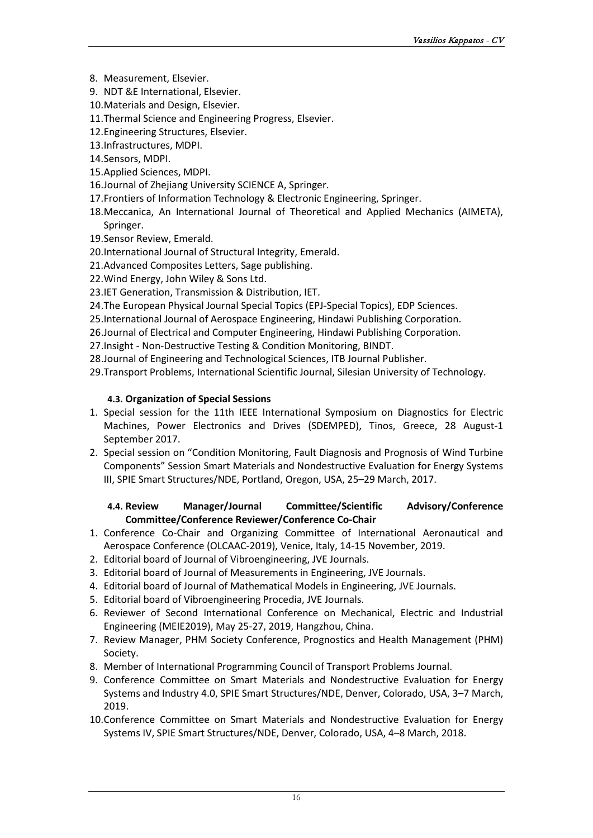- 8. Measurement, Elsevier.
- 9. NDT &Ε International, Elsevier.
- 10.Materials and Design, Elsevier.
- 11.Thermal Science and Engineering Progress, Elsevier.
- 12.Engineering Structures, Elsevier.
- 13.Infrastructures, MDPI.
- 14.Sensors, MDPI.
- 15.Applied Sciences, MDPI.
- 16.Journal of Zhejiang University SCIENCE A, Springer.
- 17.Frontiers of Information Technology & Electronic Engineering, Springer.
- 18.Meccanica, An International Journal of Theoretical and Applied Mechanics (AIMETA), Springer.
- 19.Sensor Review, Emerald.
- 20[.International Journal of Structural Integrity,](http://www.scopus.com/source/sourceInfo.url?sourceId=19700201604&origin=recordpage) Emerald.
- 21.Advanced Composites Letters, Sage publishing.
- 22.Wind Energy, John Wiley & Sons Ltd.
- 23.IET Generation, Transmission & Distribution, IET.
- 24.The European Physical Journal Special Topics (EPJ-Special Topics), EDP Sciences.
- 25.International Journal of Aerospace Engineering, Hindawi Publishing Corporation.
- 26.Journal of Electrical and Computer Engineering, Hindawi Publishing Corporation.
- 27.Insight Non-Destructive Testing & Condition Monitoring, BINDT.
- 28.Journal of Engineering and Technological Sciences, ITB Journal Publisher.

29.Transport Problems, International Scientific Journal, Silesian University of Technology.

# **4.3. Organization of Special Sessions**

- <span id="page-16-0"></span>1. Special session for the 11th IEEE International Symposium on Diagnostics for Electric Machines, Power Electronics and Drives (SDEMPED), Tinos, Greece, 28 August-1 September 2017.
- 2. Special session on "Condition Monitoring, Fault Diagnosis and Prognosis of Wind Turbine Components" Session Smart Materials and Nondestructive Evaluation for Energy Systems III, SPIE Smart Structures/NDE, Portland, Oregon, USA, 25–29 March, 2017.

# **4.4. Review Manager/Journal Committee/Scientific Advisory/Conference Committee/Conference Reviewer/Conference Co-Chair**

- 1. Conference Co-Chair and Organizing Committee of [International Aeronautical and](http://outlookconferences.com/olcnsfc-2019/)  Aerospace [Conference \(OLCAAC-2019\),](http://outlookconferences.com/olcnsfc-2019/) Venice, Italy, 14-15 [November, 2019.](http://outlookconferences.com/olcnsfc-2019/)
- 2. Editorial board of Journal of Vibroengineering, JVE Journals.
- 3. Editorial board of Journal of Measurements in Engineering, JVE Journals.
- 4. Editorial board of Journal of Mathematical Models in Engineering, JVE Journals.
- 5. Editorial board of Vibroengineering Procedia, JVE Journals.
- 6. Reviewer of Second International Conference on Mechanical, Electric and Industrial Engineering (MEIE2019), May 25-27, 2019, Hangzhou, China.
- 7. Review Manager, PHM Society Conference, Prognostics and Health Management (PHM) Society.
- 8. Member of International Programming Council of Transport Problems Journal.
- 9. Conference Committee on Smart Materials and Nondestructive Evaluation for Energy Systems and Industry 4.0, SPIE Smart Structures/NDE, Denver, Colorado, USA, 3–7 March, 2019.
- 10.Conference Committee on Smart Materials and Nondestructive Evaluation for Energy Systems IV, SPIE Smart Structures/NDE, Denver, Colorado, USA, 4–8 March, 2018.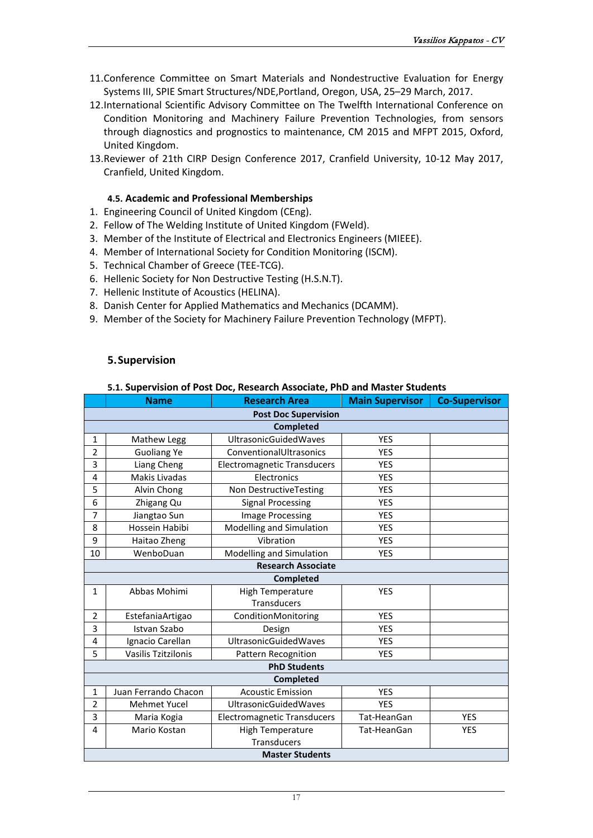- 11.Conference Committee on Smart Materials and Nondestructive Evaluation for Energy Systems III, SPIE Smart Structures/NDE,Portland, Oregon, USA, 25–29 March, 2017.
- 12.International Scientific Advisory Committee on The Twelfth International Conference on Condition Monitoring and Machinery Failure Prevention Technologies, from sensors through diagnostics and prognostics to maintenance, CM 2015 and MFPT 2015, Oxford, United Kingdom.
- 13.Reviewer of 21th CIRP Design Conference 2017, Cranfield University, 10-12 May 2017, Cranfield, United Kingdom.

# **4.5. Academic and Professional Memberships**

- <span id="page-17-0"></span>1. Engineering Council of United Kingdom (CEng).
- 2. Fellow of The Welding Institute of United Kingdom (FWeld).
- 3. Member of the Institute of Electrical and Electronics Engineers (MIEEE).
- 4. Member of International Society for Condition Monitoring (ISCM).
- 5. Technical Chamber of Greece (TEE-TCG).
- 6. Hellenic Society for Non Destructive Testing (H.S.N.T).
- 7. Hellenic Institute of Acoustics (HELINA).
- 8. Danish Center for Applied Mathematics and Mechanics (DCAMM).
- 9. Member of the Society for Machinery Failure Prevention Technology (MFPT).

# <span id="page-17-1"></span>**5.Supervision**

#### **5.1. Supervision of Post Doc, Research Associate, PhD and Master Students**

<span id="page-17-2"></span>

|                | <b>Name</b>            | <b>Research Area</b>               | <b>Main Supervisor</b> | <b>Co-Supervisor</b> |  |  |  |
|----------------|------------------------|------------------------------------|------------------------|----------------------|--|--|--|
|                |                        | <b>Post Doc Supervision</b>        |                        |                      |  |  |  |
|                |                        | <b>Completed</b>                   |                        |                      |  |  |  |
| $\mathbf{1}$   | Mathew Legg            | <b>UltrasonicGuidedWaves</b>       | <b>YES</b>             |                      |  |  |  |
| $\overline{2}$ | <b>Guoliang Ye</b>     | ConventionalUltrasonics            | <b>YES</b>             |                      |  |  |  |
| 3              | Liang Cheng            | <b>Electromagnetic Transducers</b> | <b>YES</b>             |                      |  |  |  |
| 4              | Makis Livadas          | Electronics                        | <b>YES</b>             |                      |  |  |  |
| 5              | Alvin Chong            | Non DestructiveTesting             | <b>YES</b>             |                      |  |  |  |
| 6              | Zhigang Qu             | <b>Signal Processing</b>           | <b>YES</b>             |                      |  |  |  |
| 7              | Jiangtao Sun           | <b>Image Processing</b>            | <b>YES</b>             |                      |  |  |  |
| 8              | Hossein Habibi         | Modelling and Simulation           | <b>YES</b>             |                      |  |  |  |
| 9              | Haitao Zheng           | Vibration                          | <b>YES</b>             |                      |  |  |  |
| 10             | WenboDuan              | Modelling and Simulation           | <b>YES</b>             |                      |  |  |  |
|                |                        | <b>Research Associate</b>          |                        |                      |  |  |  |
|                |                        | <b>Completed</b>                   |                        |                      |  |  |  |
| $\mathbf{1}$   | Abbas Mohimi           | <b>High Temperature</b>            | <b>YES</b>             |                      |  |  |  |
|                |                        | Transducers                        |                        |                      |  |  |  |
| $\overline{2}$ | EstefaniaArtigao       | ConditionMonitoring                | <b>YES</b>             |                      |  |  |  |
| 3              | Istvan Szabo           | Design                             | <b>YES</b>             |                      |  |  |  |
| 4              | Ignacio Carellan       | <b>UltrasonicGuidedWaves</b>       | <b>YES</b>             |                      |  |  |  |
| 5              | Vasilis Tzitzilonis    | Pattern Recognition                | <b>YES</b>             |                      |  |  |  |
|                |                        | <b>PhD Students</b>                |                        |                      |  |  |  |
|                |                        | <b>Completed</b>                   |                        |                      |  |  |  |
| $\mathbf{1}$   | Juan Ferrando Chacon   | <b>Acoustic Emission</b>           | <b>YES</b>             |                      |  |  |  |
| 2              | <b>Mehmet Yucel</b>    | <b>UltrasonicGuidedWaves</b>       | <b>YES</b>             |                      |  |  |  |
| 3              | Maria Kogia            | <b>Electromagnetic Transducers</b> | Tat-HeanGan            | <b>YES</b>           |  |  |  |
| 4              | Mario Kostan           | <b>High Temperature</b>            | Tat-HeanGan            | YES                  |  |  |  |
|                |                        | <b>Transducers</b>                 |                        |                      |  |  |  |
|                | <b>Master Students</b> |                                    |                        |                      |  |  |  |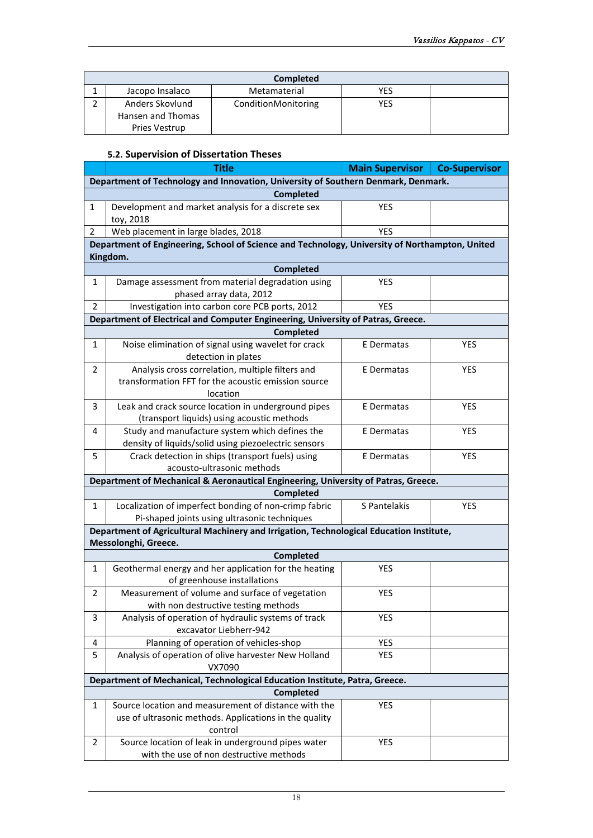| <b>Completed</b>  |                     |     |  |  |  |
|-------------------|---------------------|-----|--|--|--|
| Jacopo Insalaco   | Metamaterial        | YES |  |  |  |
| Anders Skovlund   | ConditionMonitoring | YES |  |  |  |
| Hansen and Thomas |                     |     |  |  |  |
| Pries Vestrup     |                     |     |  |  |  |

## **5.2. Supervision of Dissertation Theses**

<span id="page-18-0"></span>

|              | <b>Title</b>                                                                                   | <b>Main Supervisor</b> | <b>Co-Supervisor</b> |  |  |  |  |
|--------------|------------------------------------------------------------------------------------------------|------------------------|----------------------|--|--|--|--|
|              | Department of Technology and Innovation, University of Southern Denmark, Denmark.              |                        |                      |  |  |  |  |
|              | <b>Completed</b>                                                                               |                        |                      |  |  |  |  |
| $\mathbf{1}$ | Development and market analysis for a discrete sex<br>toy, 2018                                | YES                    |                      |  |  |  |  |
| 2            | Web placement in large blades, 2018                                                            | <b>YES</b>             |                      |  |  |  |  |
|              | Department of Engineering, School of Science and Technology, University of Northampton, United |                        |                      |  |  |  |  |
|              | Kingdom.                                                                                       |                        |                      |  |  |  |  |
|              | <b>Completed</b>                                                                               |                        |                      |  |  |  |  |
| 1            | Damage assessment from material degradation using                                              | <b>YES</b>             |                      |  |  |  |  |
|              | phased array data, 2012                                                                        |                        |                      |  |  |  |  |
| 2            | Investigation into carbon core PCB ports, 2012                                                 | <b>YES</b>             |                      |  |  |  |  |
|              | Department of Electrical and Computer Engineering, University of Patras, Greece.               |                        |                      |  |  |  |  |
|              | <b>Completed</b>                                                                               |                        |                      |  |  |  |  |
| $\mathbf{1}$ | Noise elimination of signal using wavelet for crack<br>detection in plates                     | E Dermatas             | <b>YES</b>           |  |  |  |  |
| 2            | Analysis cross correlation, multiple filters and                                               | E Dermatas             | YES                  |  |  |  |  |
|              | transformation FFT for the acoustic emission source<br>location                                |                        |                      |  |  |  |  |
| 3            | Leak and crack source location in underground pipes                                            | E Dermatas             | <b>YES</b>           |  |  |  |  |
|              | (transport liquids) using acoustic methods                                                     |                        |                      |  |  |  |  |
| 4            | Study and manufacture system which defines the                                                 | E Dermatas             | YES                  |  |  |  |  |
|              | density of liquids/solid using piezoelectric sensors                                           |                        |                      |  |  |  |  |
| 5            | Crack detection in ships (transport fuels) using                                               | E Dermatas             | YES                  |  |  |  |  |
|              | acousto-ultrasonic methods                                                                     |                        |                      |  |  |  |  |
|              | Department of Mechanical & Aeronautical Engineering, University of Patras, Greece.             |                        |                      |  |  |  |  |
|              | <b>Completed</b>                                                                               |                        |                      |  |  |  |  |
| $\mathbf{1}$ | Localization of imperfect bonding of non-crimp fabric                                          | S Pantelakis           | YES                  |  |  |  |  |
|              | Pi-shaped joints using ultrasonic techniques                                                   |                        |                      |  |  |  |  |
|              | Department of Agricultural Machinery and Irrigation, Technological Education Institute,        |                        |                      |  |  |  |  |
|              | Messolonghi, Greece.                                                                           |                        |                      |  |  |  |  |
|              | Completed                                                                                      |                        |                      |  |  |  |  |
| $\mathbf{1}$ | Geothermal energy and her application for the heating                                          | <b>YES</b>             |                      |  |  |  |  |
|              | of greenhouse installations                                                                    |                        |                      |  |  |  |  |
| 2            | Measurement of volume and surface of vegetation                                                | <b>YES</b>             |                      |  |  |  |  |
|              | with non destructive testing methods                                                           |                        |                      |  |  |  |  |
| 3            | Analysis of operation of hydraulic systems of track<br>excavator Liebherr-942                  | YES                    |                      |  |  |  |  |
| 4            | Planning of operation of vehicles-shop                                                         | YES                    |                      |  |  |  |  |
| 5            | Analysis of operation of olive harvester New Holland                                           | <b>YES</b>             |                      |  |  |  |  |
|              | VX7090                                                                                         |                        |                      |  |  |  |  |
|              | Department of Mechanical, Technological Education Institute, Patra, Greece.                    |                        |                      |  |  |  |  |
|              | <b>Completed</b>                                                                               |                        |                      |  |  |  |  |
| 1            | Source location and measurement of distance with the                                           | YES                    |                      |  |  |  |  |
|              | use of ultrasonic methods. Applications in the quality                                         |                        |                      |  |  |  |  |
|              | control                                                                                        |                        |                      |  |  |  |  |
| 2            | Source location of leak in underground pipes water                                             | YES                    |                      |  |  |  |  |
|              | with the use of non destructive methods                                                        |                        |                      |  |  |  |  |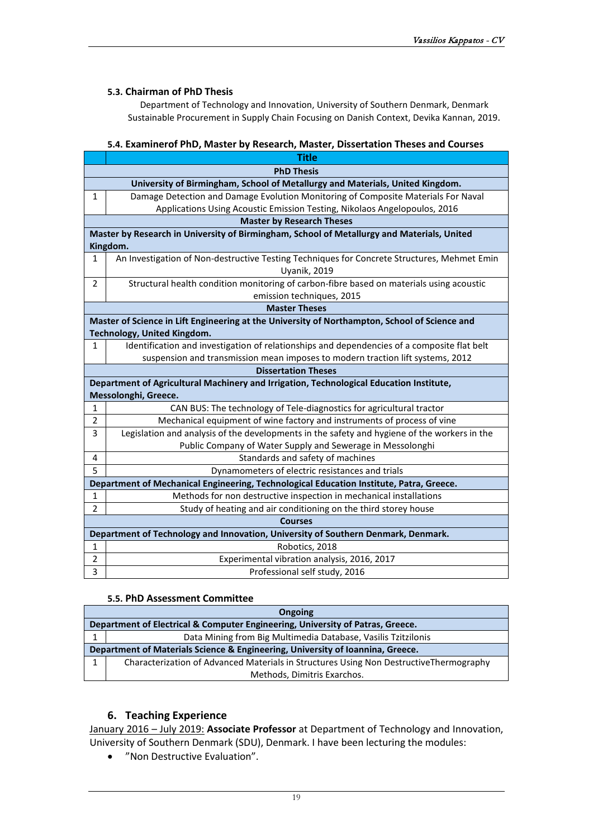#### **5.3. Chairman of PhD Thesis**

Department of Technology and Innovation, University of Southern Denmark, Denmark Sustainable Procurement in Supply Chain Focusing on Danish Context, Devika Kannan, 2019.

#### **5.4. Examinerof PhD, Master by Research, Master, Dissertation Theses and Courses**

<span id="page-19-0"></span>

|                | <b>Title</b>                                                                                  |  |  |  |  |  |  |
|----------------|-----------------------------------------------------------------------------------------------|--|--|--|--|--|--|
|                | <b>PhD Thesis</b>                                                                             |  |  |  |  |  |  |
|                | University of Birmingham, School of Metallurgy and Materials, United Kingdom.                 |  |  |  |  |  |  |
| 1              | Damage Detection and Damage Evolution Monitoring of Composite Materials For Naval             |  |  |  |  |  |  |
|                | Applications Using Acoustic Emission Testing, Nikolaos Angelopoulos, 2016                     |  |  |  |  |  |  |
|                | <b>Master by Research Theses</b>                                                              |  |  |  |  |  |  |
|                | Master by Research in University of Birmingham, School of Metallurgy and Materials, United    |  |  |  |  |  |  |
|                | Kingdom.                                                                                      |  |  |  |  |  |  |
| 1              | An Investigation of Non-destructive Testing Techniques for Concrete Structures, Mehmet Emin   |  |  |  |  |  |  |
|                | Uyanik, 2019                                                                                  |  |  |  |  |  |  |
| $\overline{2}$ | Structural health condition monitoring of carbon-fibre based on materials using acoustic      |  |  |  |  |  |  |
|                | emission techniques, 2015                                                                     |  |  |  |  |  |  |
|                | <b>Master Theses</b>                                                                          |  |  |  |  |  |  |
|                | Master of Science in Lift Engineering at the University of Northampton, School of Science and |  |  |  |  |  |  |
|                | Technology, United Kingdom.                                                                   |  |  |  |  |  |  |
| 1              | Identification and investigation of relationships and dependencies of a composite flat belt   |  |  |  |  |  |  |
|                | suspension and transmission mean imposes to modern traction lift systems, 2012                |  |  |  |  |  |  |
|                | <b>Dissertation Theses</b>                                                                    |  |  |  |  |  |  |
|                | Department of Agricultural Machinery and Irrigation, Technological Education Institute,       |  |  |  |  |  |  |
|                | Messolonghi, Greece.                                                                          |  |  |  |  |  |  |
| 1              | CAN BUS: The technology of Tele-diagnostics for agricultural tractor                          |  |  |  |  |  |  |
| 2              | Mechanical equipment of wine factory and instruments of process of vine                       |  |  |  |  |  |  |
| 3              | Legislation and analysis of the developments in the safety and hygiene of the workers in the  |  |  |  |  |  |  |
|                | Public Company of Water Supply and Sewerage in Messolonghi                                    |  |  |  |  |  |  |
| 4              | Standards and safety of machines                                                              |  |  |  |  |  |  |
| 5              | Dynamometers of electric resistances and trials                                               |  |  |  |  |  |  |
|                | Department of Mechanical Engineering, Technological Education Institute, Patra, Greece.       |  |  |  |  |  |  |
| 1              | Methods for non destructive inspection in mechanical installations                            |  |  |  |  |  |  |
| 2              | Study of heating and air conditioning on the third storey house                               |  |  |  |  |  |  |
|                | <b>Courses</b>                                                                                |  |  |  |  |  |  |
|                | Department of Technology and Innovation, University of Southern Denmark, Denmark.             |  |  |  |  |  |  |
| $\mathbf{1}$   | Robotics, 2018                                                                                |  |  |  |  |  |  |
| $\overline{2}$ | Experimental vibration analysis, 2016, 2017                                                   |  |  |  |  |  |  |
| 3              | Professional self study, 2016                                                                 |  |  |  |  |  |  |

#### **5.5. PhD Assessment Committee**

| <b>Ongoing</b>                                                                 |                                                                                        |
|--------------------------------------------------------------------------------|----------------------------------------------------------------------------------------|
| Department of Electrical & Computer Engineering, University of Patras, Greece. |                                                                                        |
|                                                                                | Data Mining from Big Multimedia Database, Vasilis Tzitzilonis                          |
| Department of Materials Science & Engineering, University of Ioannina, Greece. |                                                                                        |
|                                                                                | Characterization of Advanced Materials in Structures Using Non DestructiveThermography |
|                                                                                | Methods, Dimitris Exarchos.                                                            |

#### **6. Teaching Experience**

<span id="page-19-1"></span>January 2016 – July 2019: **Associate Professor** at Department of Technology and Innovation, University of Southern Denmark (SDU), Denmark. I have been lecturing the modules:

• "Non Destructive Evaluation".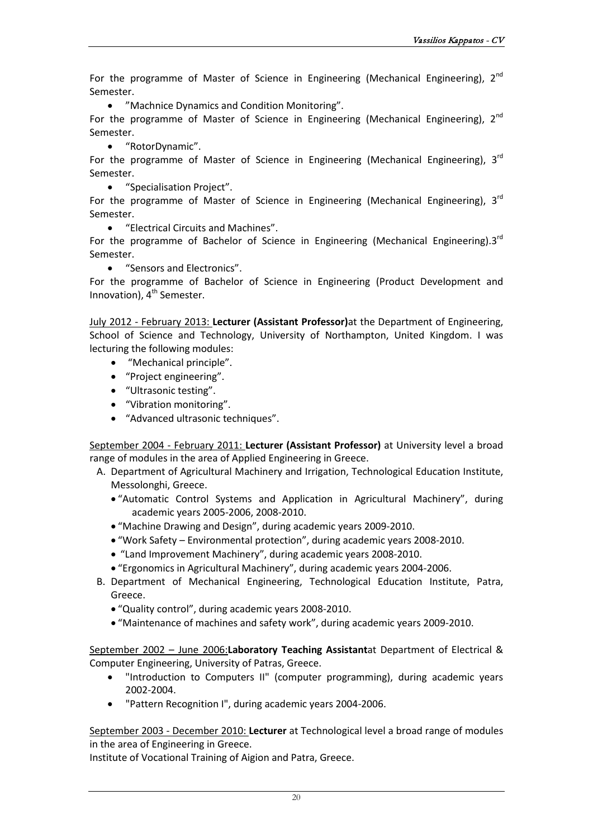For the programme of Master of Science in Engineering (Mechanical Engineering),  $2^{nd}$ Semester.

• "Machnice Dynamics and Condition Monitoring".

For the programme of Master of Science in Engineering (Mechanical Engineering),  $2^{nd}$ Semester.

• "RotorDynamic".

For the programme of Master of Science in Engineering (Mechanical Engineering),  $3<sup>rd</sup>$ Semester.

• "Specialisation Project".

For the programme of Master of Science in Engineering (Mechanical Engineering),  $3<sup>rd</sup>$ Semester.

• "Electrical Circuits and Machines".

For the programme of Bachelor of Science in Engineering (Mechanical Engineering).3 $^{rd}$ Semester.

• "Sensors and Electronics".

For the programme of Bachelor of Science in Engineering (Product Development and Innovation),  $4<sup>th</sup>$  Semester.

July 2012 - February 2013: **Lecturer (Assistant Professor)**at the Department of Engineering, School of Science and Technology, University of Northampton, United Kingdom. I was lecturing the following modules:

- "Mechanical principle".
- "Project engineering".
- "Ultrasonic testing".
- "Vibration monitoring".
- "Advanced ultrasonic techniques".

September 2004 - February 2011: **Lecturer (Assistant Professor)** at University level a broad range of modules in the area of Applied Engineering in Greece.

- A. Department of [Agricultural Machinery and Irrigation,](http://www.teimes.gr/gema/) Technological Education Institute, Messolonghi, Greece.
	- "Automatic Control Systems and Application in Agricultural Machinery", during academic years 2005-2006, 2008-2010.
	- "Machine Drawing and Design", during academic years 2009-2010.
	- "Work Safety Environmental protection", during academic years 2008-2010.
	- "Land Improvement Machinery", during academic years 2008-2010.
	- "Ergonomics in Agricultural Machinery", during academic years 2004-2006.
- B. Department of Mechanical Engineering, Technological Education Institute, Patra, Greece.
	- "Quality control", during academic years 2008-2010.
	- "Maintenance of machines and safety work", during academic years 2009-2010.

September 2002 – June 2006:**Laboratory Teaching Assistant**at Department of Electrical & Computer Engineering, University of Patras, Greece.

- "Introduction to Computers II" (computer programming), during academic years 2002-2004.
- "Pattern Recognition I", during academic years 2004-2006.

September 2003 - December 2010: **Lecturer** at Technological level a broad range of modules in the area of Engineering in Greece.

Institute of Vocational Training of Aigion and Patra, Greece.